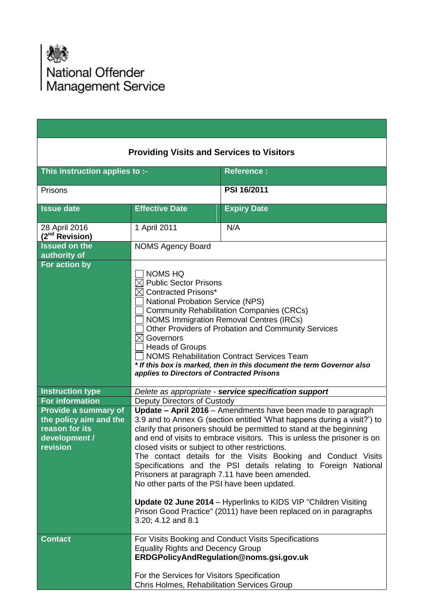

|                                                                                               | <b>Providing Visits and Services to Visitors</b>                                                                                                                                                                                                                                                                                                                                                                                                                                                                              |                                                                                                                                                                                                                                                                                                                                                                                                                                                                                                                                                                                                                          |  |  |  |  |
|-----------------------------------------------------------------------------------------------|-------------------------------------------------------------------------------------------------------------------------------------------------------------------------------------------------------------------------------------------------------------------------------------------------------------------------------------------------------------------------------------------------------------------------------------------------------------------------------------------------------------------------------|--------------------------------------------------------------------------------------------------------------------------------------------------------------------------------------------------------------------------------------------------------------------------------------------------------------------------------------------------------------------------------------------------------------------------------------------------------------------------------------------------------------------------------------------------------------------------------------------------------------------------|--|--|--|--|
| This instruction applies to :-                                                                |                                                                                                                                                                                                                                                                                                                                                                                                                                                                                                                               | <b>Reference:</b>                                                                                                                                                                                                                                                                                                                                                                                                                                                                                                                                                                                                        |  |  |  |  |
| Prisons                                                                                       |                                                                                                                                                                                                                                                                                                                                                                                                                                                                                                                               | <b>PSI 16/2011</b>                                                                                                                                                                                                                                                                                                                                                                                                                                                                                                                                                                                                       |  |  |  |  |
| <b>Issue date</b>                                                                             | <b>Effective Date</b>                                                                                                                                                                                                                                                                                                                                                                                                                                                                                                         | <b>Expiry Date</b>                                                                                                                                                                                                                                                                                                                                                                                                                                                                                                                                                                                                       |  |  |  |  |
| 28 April 2016<br>(2 <sup>nd</sup> Revision)                                                   | 1 April 2011                                                                                                                                                                                                                                                                                                                                                                                                                                                                                                                  | N/A                                                                                                                                                                                                                                                                                                                                                                                                                                                                                                                                                                                                                      |  |  |  |  |
| <b>Issued on the</b><br>authority of                                                          | <b>NOMS Agency Board</b>                                                                                                                                                                                                                                                                                                                                                                                                                                                                                                      |                                                                                                                                                                                                                                                                                                                                                                                                                                                                                                                                                                                                                          |  |  |  |  |
| For action by                                                                                 | <b>NOMS HQ</b><br>$\boxtimes$ Public Sector Prisons<br>$\boxtimes$ Contracted Prisons*<br><b>National Probation Service (NPS)</b><br><b>Community Rehabilitation Companies (CRCs)</b><br><b>NOMS Immigration Removal Centres (IRCs)</b><br>Other Providers of Probation and Community Services<br>$\boxtimes$ Governors<br><b>Heads of Groups</b><br><b>NOMS Rehabilitation Contract Services Team</b><br>* If this box is marked, then in this document the term Governor also<br>applies to Directors of Contracted Prisons |                                                                                                                                                                                                                                                                                                                                                                                                                                                                                                                                                                                                                          |  |  |  |  |
| <b>Instruction type</b>                                                                       | Delete as appropriate - service specification support                                                                                                                                                                                                                                                                                                                                                                                                                                                                         |                                                                                                                                                                                                                                                                                                                                                                                                                                                                                                                                                                                                                          |  |  |  |  |
| <b>For information</b>                                                                        | <b>Deputy Directors of Custody</b>                                                                                                                                                                                                                                                                                                                                                                                                                                                                                            |                                                                                                                                                                                                                                                                                                                                                                                                                                                                                                                                                                                                                          |  |  |  |  |
| Provide a summary of<br>the policy aim and the<br>reason for its<br>development /<br>revision | closed visits or subject to other restrictions.<br>No other parts of the PSI have been updated.                                                                                                                                                                                                                                                                                                                                                                                                                               | Update - April 2016 - Amendments have been made to paragraph<br>3.9 and to Annex G (section entitled 'What happens during a visit?') to<br>clarify that prisoners should be permitted to stand at the beginning<br>and end of visits to embrace visitors. This is unless the prisoner is on<br>The contact details for the Visits Booking and Conduct Visits<br>Specifications and the PSI details relating to Foreign National<br>Prisoners at paragraph 7.11 have been amended.<br>Update 02 June 2014 - Hyperlinks to KIDS VIP "Children Visiting<br>Prison Good Practice" (2011) have been replaced on in paragraphs |  |  |  |  |
|                                                                                               | 3.20; 4.12 and 8.1                                                                                                                                                                                                                                                                                                                                                                                                                                                                                                            |                                                                                                                                                                                                                                                                                                                                                                                                                                                                                                                                                                                                                          |  |  |  |  |
| <b>Contact</b>                                                                                | <b>Equality Rights and Decency Group</b><br>For the Services for Visitors Specification                                                                                                                                                                                                                                                                                                                                                                                                                                       | For Visits Booking and Conduct Visits Specifications<br>ERDGPolicyAndRegulation@noms.gsi.gov.uk                                                                                                                                                                                                                                                                                                                                                                                                                                                                                                                          |  |  |  |  |
|                                                                                               | Chris Holmes, Rehabilitation Services Group                                                                                                                                                                                                                                                                                                                                                                                                                                                                                   |                                                                                                                                                                                                                                                                                                                                                                                                                                                                                                                                                                                                                          |  |  |  |  |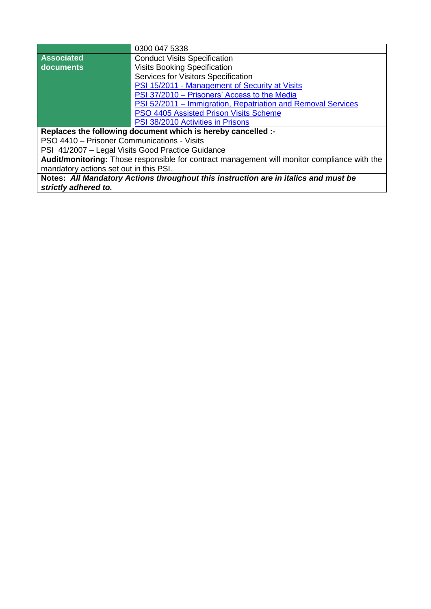|                                             | 0300 047 5338                                                                                |
|---------------------------------------------|----------------------------------------------------------------------------------------------|
| <b>Associated</b>                           | <b>Conduct Visits Specification</b>                                                          |
| documents                                   | <b>Visits Booking Specification</b>                                                          |
|                                             | Services for Visitors Specification                                                          |
|                                             | PSI 15/2011 - Management of Security at Visits                                               |
|                                             | PSI 37/2010 – Prisoners' Access to the Media                                                 |
|                                             | PSI 52/2011 – Immigration, Repatriation and Removal Services                                 |
|                                             | PSO 4405 Assisted Prison Visits Scheme                                                       |
|                                             | PSI 38/2010 Activities in Prisons                                                            |
|                                             | Replaces the following document which is hereby cancelled :-                                 |
| PSO 4410 - Prisoner Communications - Visits |                                                                                              |
|                                             | PSI 41/2007 - Legal Visits Good Practice Guidance                                            |
|                                             | Audit/monitoring: Those responsible for contract management will monitor compliance with the |
| mandatory actions set out in this PSI.      |                                                                                              |
|                                             | Notes: All Mandatory Actions throughout this instruction are in italics and must be          |
| strictly adhered to.                        |                                                                                              |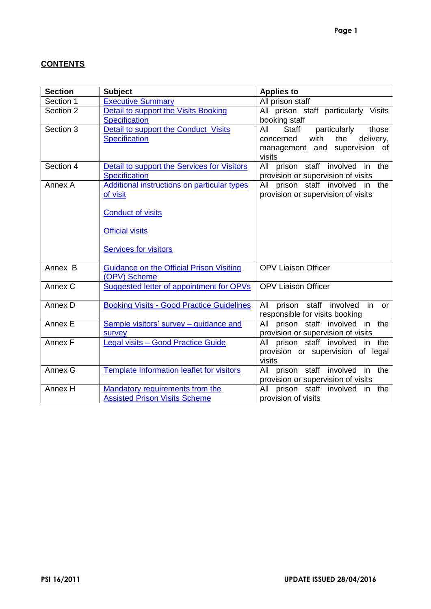# **CONTENTS**

| <b>Section</b> | <b>Subject</b>                                     | <b>Applies to</b>                        |
|----------------|----------------------------------------------------|------------------------------------------|
| Section 1      | <b>Executive Summary</b>                           | All prison staff                         |
| Section 2      | <b>Detail to support the Visits Booking</b>        | All prison staff particularly Visits     |
|                | <b>Specification</b>                               | booking staff                            |
| Section 3      | Detail to support the Conduct Visits               | particularly<br>those<br>All<br>Staff    |
|                | <b>Specification</b>                               | with<br>delivery,<br>concerned<br>the    |
|                |                                                    | management and supervision of            |
|                |                                                    | visits                                   |
| Section 4      | Detail to support the Services for Visitors        | All prison staff involved in the         |
|                | <b>Specification</b>                               | provision or supervision of visits       |
| Annex A        | <b>Additional instructions on particular types</b> | All prison staff involved in the         |
|                | of visit                                           | provision or supervision of visits       |
|                |                                                    |                                          |
|                | <b>Conduct of visits</b>                           |                                          |
|                |                                                    |                                          |
|                | <b>Official visits</b>                             |                                          |
|                |                                                    |                                          |
|                | <b>Services for visitors</b>                       |                                          |
| Annex B        | <b>Guidance on the Official Prison Visiting</b>    | <b>OPV Liaison Officer</b>               |
|                | (OPV) Scheme                                       |                                          |
| Annex C        | Suggested letter of appointment for OPVs           | <b>OPV Liaison Officer</b>               |
|                |                                                    |                                          |
| Annex D        | <b>Booking Visits - Good Practice Guidelines</b>   | prison staff involved<br>in<br>All<br>or |
|                |                                                    | responsible for visits booking           |
| Annex E        | Sample visitors' survey - guidance and             | prison staff involved in<br>All<br>the   |
|                | survey                                             | provision or supervision of visits       |
| Annex F        | Legal visits - Good Practice Guide                 | All prison staff involved in the         |
|                |                                                    | provision or supervision of legal        |
|                |                                                    | visits                                   |
| Annex G        | <b>Template Information leaflet for visitors</b>   | All prison staff involved in the         |
|                |                                                    | provision or supervision of visits       |
| Annex H        | <b>Mandatory requirements from the</b>             | All prison staff involved in<br>the      |
|                | <b>Assisted Prison Visits Scheme</b>               | provision of visits                      |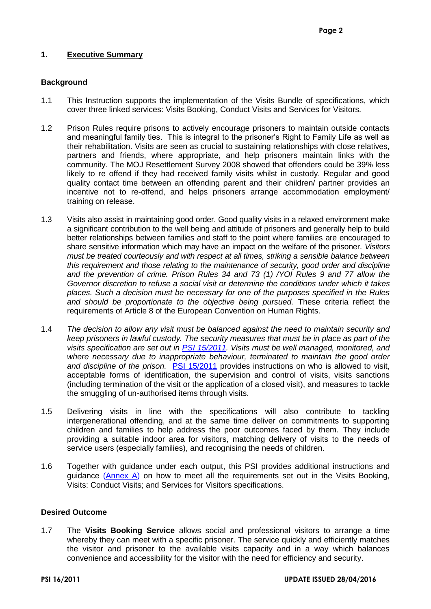## <span id="page-3-0"></span>**1. Executive Summary**

## **Background**

- 1.1 This Instruction supports the implementation of the Visits Bundle of specifications, which cover three linked services: Visits Booking, Conduct Visits and Services for Visitors.
- 1.2 Prison Rules require prisons to actively encourage prisoners to maintain outside contacts and meaningful family ties. This is integral to the prisoner's Right to Family Life as well as their rehabilitation. Visits are seen as crucial to sustaining relationships with close relatives, partners and friends, where appropriate, and help prisoners maintain links with the community. The MOJ Resettlement Survey 2008 showed that offenders could be 39% less likely to re offend if they had received family visits whilst in custody. Regular and good quality contact time between an offending parent and their children/ partner provides an incentive not to re-offend, and helps prisoners arrange accommodation employment/ training on release.
- 1.3 Visits also assist in maintaining good order. Good quality visits in a relaxed environment make a significant contribution to the well being and attitude of prisoners and generally help to build better relationships between families and staff to the point where families are encouraged to share sensitive information which may have an impact on the welfare of the prisoner. *Visitors must be treated courteously and with respect at all times, striking a sensible balance between this requirement and those relating to the maintenance of security, good order and discipline and the prevention of crime. Prison Rules 34 and 73 (1) /YOI Rules 9 and 77 allow the Governor discretion to refuse a social visit or determine the conditions under which it takes places. Such a decision must be necessary for one of the purposes specified in the Rules and should be proportionate to the objective being pursued.* These criteria reflect the requirements of Article 8 of the European Convention on Human Rights.
- 1.4 *The decision to allow any visit must be balanced against the need to maintain security and keep prisoners in lawful custody. The security measures that must be in place as part of the visits specification are set out in [PSI 15/2011.](https://intranet.noms.gsi.gov.uk/__data/assets/word_doc/0006/6963/PSI-15-2011-Management-and-Security-at-Visits.doc) Visits must be well managed, monitored, and where necessary due to inappropriate behaviour, terminated to maintain the good order and discipline of the prison.* [PSI 15/2011](https://intranet.noms.gsi.gov.uk/__data/assets/word_doc/0006/6963/PSI-15-2011-Management-and-Security-at-Visits.doc) provides instructions on who is allowed to visit, acceptable forms of identification, the supervision and control of visits, visits sanctions (including termination of the visit or the application of a closed visit), and measures to tackle the smuggling of un-authorised items through visits.
- 1.5 Delivering visits in line with the specifications will also contribute to tackling intergenerational offending, and at the same time deliver on commitments to supporting children and families to help address the poor outcomes faced by them. They include providing a suitable indoor area for visitors, matching delivery of visits to the needs of service users (especially families), and recognising the needs of children.
- 1.6 Together with guidance under each output, this PSI provides additional instructions and guidance [\(Annex](#page-17-0) A) on how to meet all the requirements set out in the Visits Booking, Visits: Conduct Visits; and Services for Visitors specifications.

#### **Desired Outcome**

1.7 The **Visits Booking Service** allows social and professional visitors to arrange a time whereby they can meet with a specific prisoner. The service quickly and efficiently matches the visitor and prisoner to the available visits capacity and in a way which balances convenience and accessibility for the visitor with the need for efficiency and security.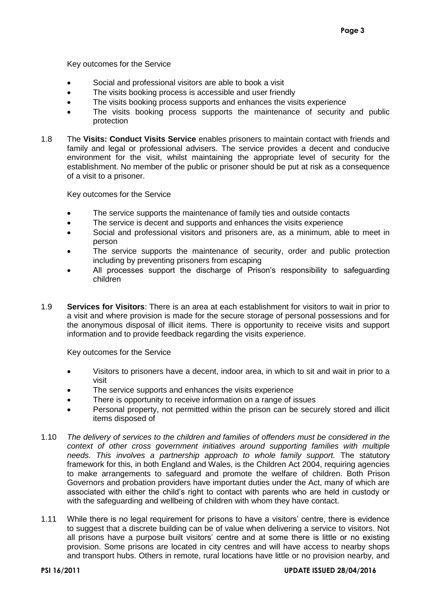Key outcomes for the Service

- Social and professional visitors are able to book a visit
- The visits booking process is accessible and user friendly
- The visits booking process supports and enhances the visits experience
- The visits booking process supports the maintenance of security and public protection
- 1.8 The **Visits: Conduct Visits Service** enables prisoners to maintain contact with friends and family and legal or professional advisers. The service provides a decent and conducive environment for the visit, whilst maintaining the appropriate level of security for the establishment. No member of the public or prisoner should be put at risk as a consequence of a visit to a prisoner.

Key outcomes for the Service

- The service supports the maintenance of family ties and outside contacts
- The service is decent and supports and enhances the visits experience
- Social and professional visitors and prisoners are, as a minimum, able to meet in person
- The service supports the maintenance of security, order and public protection including by preventing prisoners from escaping
- All processes support the discharge of Prison's responsibility to safeguarding children
- 1.9 **Services for Visitors**: There is an area at each establishment for visitors to wait in prior to a visit and where provision is made for the secure storage of personal possessions and for the anonymous disposal of illicit items. There is opportunity to receive visits and support information and to provide feedback regarding the visits experience.

Key outcomes for the Service

- Visitors to prisoners have a decent, indoor area, in which to sit and wait in prior to a visit
- The service supports and enhances the visits experience
- There is opportunity to receive information on a range of issues
- Personal property, not permitted within the prison can be securely stored and illicit items disposed of
- 1.10 *The delivery of services to the children and families of offenders must be considered in the context of other cross government initiatives around supporting families with multiple needs. This involves a partnership approach to whole family support.* The statutory framework for this, in both England and Wales, is the Children Act 2004, requiring agencies to make arrangements to safeguard and promote the welfare of children. Both Prison Governors and probation providers have important duties under the Act, many of which are associated with either the child's right to contact with parents who are held in custody or with the safeguarding and wellbeing of children with whom they have contact.
- 1.11 While there is no legal requirement for prisons to have a visitors' centre, there is evidence to suggest that a discrete building can be of value when delivering a service to visitors. Not all prisons have a purpose built visitors' centre and at some there is little or no existing provision. Some prisons are located in city centres and will have access to nearby shops and transport hubs. Others in remote, rural locations have little or no provision nearby, and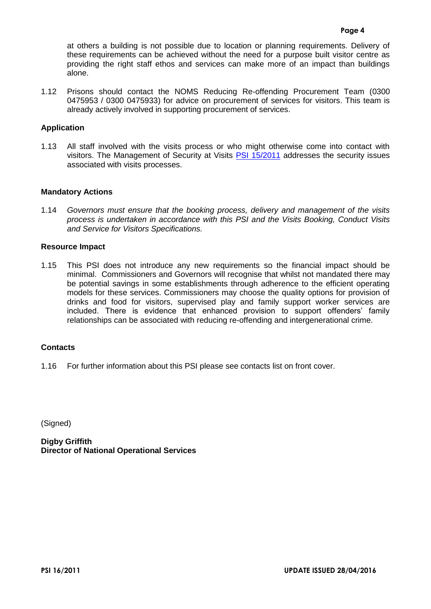at others a building is not possible due to location or planning requirements. Delivery of these requirements can be achieved without the need for a purpose built visitor centre as providing the right staff ethos and services can make more of an impact than buildings alone.

1.12 Prisons should contact the NOMS Reducing Re-offending Procurement Team (0300 0475953 / 0300 0475933) for advice on procurement of services for visitors. This team is already actively involved in supporting procurement of services.

## **Application**

1.13 All staff involved with the visits process or who might otherwise come into contact with visitors. The Management of Security at Visits [PSI 15/2011](https://intranet.noms.gsi.gov.uk/__data/assets/word_doc/0006/6963/PSI-15-2011-Management-and-Security-at-Visits.doc) addresses the security issues associated with visits processes.

## **Mandatory Actions**

1.14 *Governors must ensure that the booking process, delivery and management of the visits process is undertaken in accordance with this PSI and the Visits Booking, Conduct Visits and Service for Visitors Specifications.*

## **Resource Impact**

1.15 This PSI does not introduce any new requirements so the financial impact should be minimal. Commissioners and Governors will recognise that whilst not mandated there may be potential savings in some establishments through adherence to the efficient operating models for these services. Commissioners may choose the quality options for provision of drinks and food for visitors, supervised play and family support worker services are included. There is evidence that enhanced provision to support offenders' family relationships can be associated with reducing re-offending and intergenerational crime.

#### **Contacts**

1.16 For further information about this PSI please see contacts list on front cover.

(Signed)

**Digby Griffith Director of National Operational Services**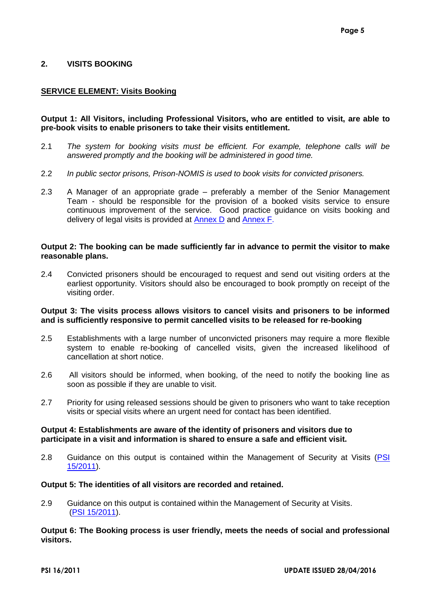## <span id="page-6-0"></span>**2. VISITS BOOKING**

## **SERVICE ELEMENT: Visits Booking**

## **Output 1: All Visitors, including Professional Visitors, who are entitled to visit, are able to pre-book visits to enable prisoners to take their visits entitlement.**

- 2.1 *The system for booking visits must be efficient. For example, telephone calls will be answered promptly and the booking will be administered in good time.*
- 2.2 *In public sector prisons, Prison-NOMIS is used to book visits for convicted prisoners.*
- 2.3 A Manager of an appropriate grade preferably a member of the Senior Management Team - should be responsible for the provision of a booked visits service to ensure continuous improvement of the service. Good practice guidance on visits booking and delivery of legal visits is provided at [Annex D](#page-29-0) and [Annex F.](#page-39-0)

#### **Output 2: The booking can be made sufficiently far in advance to permit the visitor to make reasonable plans.**

2.4 Convicted prisoners should be encouraged to request and send out visiting orders at the earliest opportunity. Visitors should also be encouraged to book promptly on receipt of the visiting order.

#### **Output 3: The visits process allows visitors to cancel visits and prisoners to be informed and is sufficiently responsive to permit cancelled visits to be released for re-booking**

- 2.5 Establishments with a large number of unconvicted prisoners may require a more flexible system to enable re-booking of cancelled visits, given the increased likelihood of cancellation at short notice.
- 2.6 All visitors should be informed, when booking, of the need to notify the booking line as soon as possible if they are unable to visit.
- 2.7 Priority for using released sessions should be given to prisoners who want to take reception visits or special visits where an urgent need for contact has been identified.

#### **Output 4: Establishments are aware of the identity of prisoners and visitors due to participate in a visit and information is shared to ensure a safe and efficient visit.**

2.8 Guidance on this output is contained within the Management of Security at Visits [\(PSI](https://intranet.noms.gsi.gov.uk/__data/assets/word_doc/0006/6963/PSI-15-2011-Management-and-Security-at-Visits.doc)  [15/2011\)](https://intranet.noms.gsi.gov.uk/__data/assets/word_doc/0006/6963/PSI-15-2011-Management-and-Security-at-Visits.doc).

#### **Output 5: The identities of all visitors are recorded and retained.**

2.9 Guidance on this output is contained within the Management of Security at Visits. (PSI [15/2011\)](https://intranet.noms.gsi.gov.uk/__data/assets/word_doc/0006/6963/PSI-15-2011-Management-and-Security-at-Visits.doc).

#### **Output 6: The Booking process is user friendly, meets the needs of social and professional visitors.**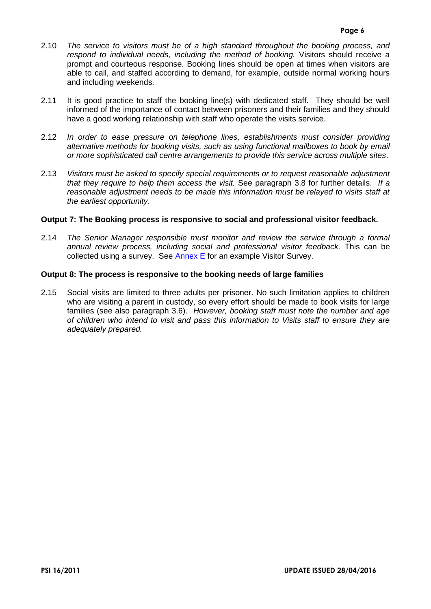- 2.10 *The service to visitors must be of a high standard throughout the booking process, and respond to individual needs, including the method of booking.* Visitors should receive a prompt and courteous response. Booking lines should be open at times when visitors are able to call, and staffed according to demand, for example, outside normal working hours and including weekends.
- 2.11 It is good practice to staff the booking line(s) with dedicated staff. They should be well informed of the importance of contact between prisoners and their families and they should have a good working relationship with staff who operate the visits service.
- 2.12 *In order to ease pressure on telephone lines, establishments must consider providing alternative methods for booking visits, such as using functional mailboxes to book by email or more sophisticated call centre arrangements to provide this service across multiple sites*.
- 2.13 *Visitors must be asked to specify special requirements or to request reasonable adjustment that they require to help them access the visit.* See paragraph 3.8 for further details. *If a reasonable adjustment needs to be made this information must be relayed to visits staff at the earliest opportunity*.

## **Output 7: The Booking process is responsive to social and professional visitor feedback.**

2.14 *The Senior Manager responsible must monitor and review the service through a formal annual review process, including social and professional visitor feedback.* This can be collected using a survey. See [Annex E](#page-31-0) for an example Visitor Survey.

## **Output 8: The process is responsive to the booking needs of large families**

2.15 Social visits are limited to three adults per prisoner. No such limitation applies to children who are visiting a parent in custody, so every effort should be made to book visits for large families (see also paragraph 3.6). *However, booking staff must note the number and age of children who intend to visit and pass this information to Visits staff to ensure they are adequately prepared.*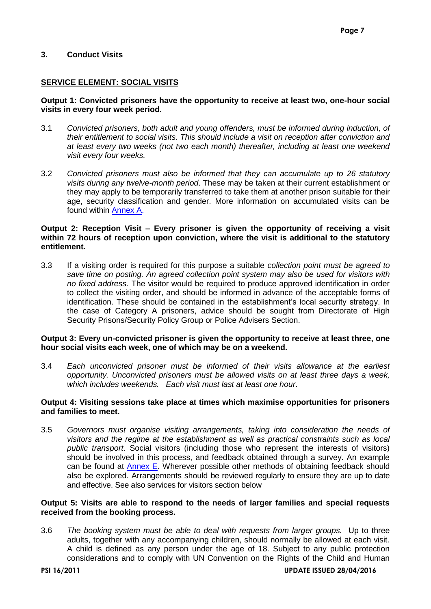## <span id="page-8-0"></span>**3. Conduct Visits**

#### **SERVICE ELEMENT: SOCIAL VISITS**

#### **Output 1: Convicted prisoners have the opportunity to receive at least two, one-hour social visits in every four week period.**

- 3.1 *Convicted prisoners, both adult and young offenders, must be informed during induction, of their entitlement to social visits. This should include a visit on reception after conviction and at least every two weeks (not two each month) thereafter, including at least one weekend visit every four weeks.*
- 3.2 *Convicted prisoners must also be informed that they can accumulate up to 26 statutory visits during any twelve-month period*. These may be taken at their current establishment or they may apply to be temporarily transferred to take them at another prison suitable for their age, security classification and gender. More information on accumulated visits can be found within [Annex A.](#page-17-0)

## **Output 2: Reception Visit – Every prisoner is given the opportunity of receiving a visit within 72 hours of reception upon conviction, where the visit is additional to the statutory entitlement.**

3.3 If a visiting order is required for this purpose a suitable *collection point must be agreed to save time on posting. An agreed collection point system may also be used for visitors with no fixed address.* The visitor would be required to produce approved identification in order to collect the visiting order, and should be informed in advance of the acceptable forms of identification. These should be contained in the establishment's local security strategy. In the case of Category A prisoners, advice should be sought from Directorate of High Security Prisons/Security Policy Group or Police Advisers Section.

## **Output 3: Every un-convicted prisoner is given the opportunity to receive at least three, one hour social visits each week, one of which may be on a weekend.**

3.4 *Each unconvicted prisoner must be informed of their visits allowance at the earliest opportunity. Unconvicted prisoners must be allowed visits on at least three days a week, which includes weekends. Each visit must last at least one hour*.

## **Output 4: Visiting sessions take place at times which maximise opportunities for prisoners and families to meet.**

3.5 *Governors must organise visiting arrangements, taking into consideration the needs of visitors and the regime at the establishment as well as practical constraints such as local public transport*. Social visitors (including those who represent the interests of visitors) should be involved in this process, and feedback obtained through a survey. An example can be found at [Annex E.](#page-31-0) Wherever possible other methods of obtaining feedback should also be explored. Arrangements should be reviewed regularly to ensure they are up to date and effective. See also services for visitors section below

## **Output 5: Visits are able to respond to the needs of larger families and special requests received from the booking process.**

3.6 *The booking system must be able to deal with requests from larger groups.* Up to three adults, together with any accompanying children, should normally be allowed at each visit. A child is defined as any person under the age of 18. Subject to any public protection considerations and to comply with UN Convention on the Rights of the Child and Human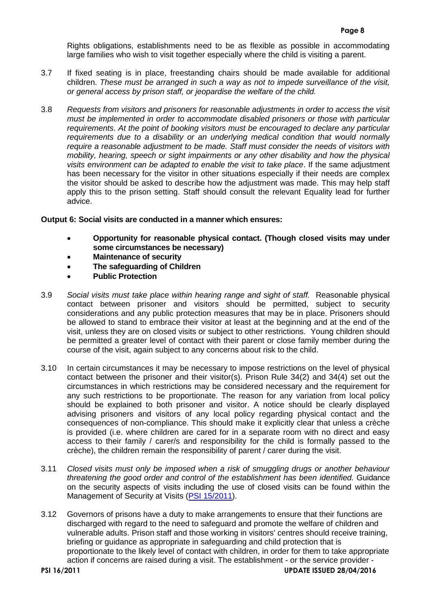Rights obligations, establishments need to be as flexible as possible in accommodating large families who wish to visit together especially where the child is visiting a parent.

- 3.7 If fixed seating is in place, freestanding chairs should be made available for additional children. *These must be arranged in such a way as not to impede surveillance of the visit, or general access by prison staff, or jeopardise the welfare of the child.*
- 3.8 *Requests from visitors and prisoners for reasonable adjustments in order to access the visit must be implemented in order to accommodate disabled prisoners or those with particular requirements*. *At the point of booking visitors must be encouraged to declare any particular requirements due to a disability or an underlying medical condition that would normally require a reasonable adjustment to be made. Staff must consider the needs of visitors with mobility, hearing, speech or sight impairments or any other disability and how the physical visits environment can be adapted to enable the visit to take place*. If the same adjustment has been necessary for the visitor in other situations especially if their needs are complex the visitor should be asked to describe how the adjustment was made. This may help staff apply this to the prison setting. Staff should consult the relevant Equality lead for further advice.

# **Output 6: Social visits are conducted in a manner which ensures:**

- **Opportunity for reasonable physical contact. (Though closed visits may under some circumstances be necessary)**
- **Maintenance of security**
- **The safeguarding of Children**
- **Public Protection**
- 3.9 *Social visits must take place within hearing range and sight of staff.* Reasonable physical contact between prisoner and visitors should be permitted, subject to security considerations and any public protection measures that may be in place. Prisoners should be allowed to stand to embrace their visitor at least at the beginning and at the end of the visit, unless they are on closed visits or subject to other restrictions. Young children should be permitted a greater level of contact with their parent or close family member during the course of the visit, again subject to any concerns about risk to the child.
- 3.10 In certain circumstances it may be necessary to impose restrictions on the level of physical contact between the prisoner and their visitor(s). Prison Rule 34(2) and 34(4) set out the circumstances in which restrictions may be considered necessary and the requirement for any such restrictions to be proportionate. The reason for any variation from local policy should be explained to both prisoner and visitor. A notice should be clearly displayed advising prisoners and visitors of any local policy regarding physical contact and the consequences of non-compliance. This should make it explicitly clear that unless a crèche is provided (i.e. where children are cared for in a separate room with no direct and easy access to their family / carer/s and responsibility for the child is formally passed to the crèche), the children remain the responsibility of parent / carer during the visit.
- 3.11 *Closed visits must only be imposed when a risk of smuggling drugs or another behaviour threatening the good order and control of the establishment has been identified.* Guidance on the security aspects of visits including the use of closed visits can be found within the Management of Security at Visits [\(PSI 15/2011\)](https://intranet.noms.gsi.gov.uk/__data/assets/word_doc/0006/6963/PSI-15-2011-Management-and-Security-at-Visits.doc).
- 3.12 Governors of prisons have a duty to make arrangements to ensure that their functions are discharged with regard to the need to safeguard and promote the welfare of children and vulnerable adults. Prison staff and those working in visitors' centres should receive training, briefing or guidance as appropriate in safeguarding and child protection that is proportionate to the likely level of contact with children, in order for them to take appropriate action if concerns are raised during a visit. The establishment - or the service provider -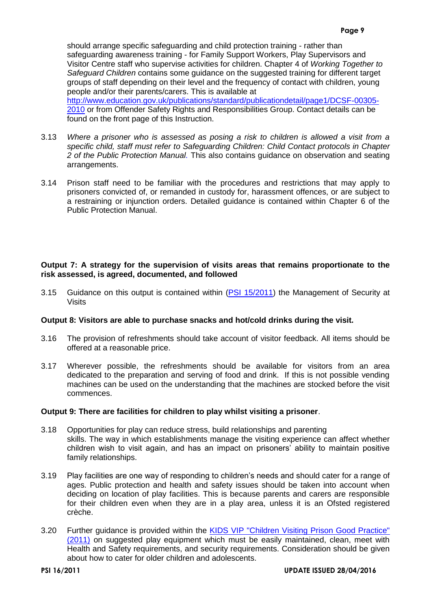should arrange specific safeguarding and child protection training - rather than safeguarding awareness training - for Family Support Workers, Play Supervisors and Visitor Centre staff who supervise activities for children. Chapter 4 of *Working Together to Safeguard Children* contains some guidance on the suggested training for different target groups of staff depending on their level and the frequency of contact with children, young people and/or their parents/carers. This is available at [http://www.education.gov.uk/publications/standard/publicationdetail/page1/DCSF-00305-](http://www.education.gov.uk/publications/standard/publicationdetail/page1/DCSF-00305-2010)

[2010](http://www.education.gov.uk/publications/standard/publicationdetail/page1/DCSF-00305-2010) or from Offender Safety Rights and Responsibilities Group. Contact details can be found on the front page of this Instruction.

- 3.13 *Where a prisoner who is assessed as posing a risk to children is allowed a visit from a specific child, staff must refer to Safeguarding Children: Child Contact protocols in Chapter 2 of the Public Protection Manual.* This also contains guidance on observation and seating arrangements.
- 3.14 Prison staff need to be familiar with the procedures and restrictions that may apply to prisoners convicted of, or remanded in custody for, harassment offences, or are subject to a restraining or injunction orders. Detailed guidance is contained within Chapter 6 of the Public Protection Manual.

## **Output 7: A strategy for the supervision of visits areas that remains proportionate to the risk assessed, is agreed, documented, and followed**

3.15 Guidance on this output is contained within [\(PSI 15/2011\)](https://intranet.noms.gsi.gov.uk/__data/assets/word_doc/0006/6963/PSI-15-2011-Management-and-Security-at-Visits.doc) the Management of Security at Visits

#### **Output 8: Visitors are able to purchase snacks and hot/cold drinks during the visit.**

- 3.16 The provision of refreshments should take account of visitor feedback. All items should be offered at a reasonable price.
- 3.17 Wherever possible, the refreshments should be available for visitors from an area dedicated to the preparation and serving of food and drink. If this is not possible vending machines can be used on the understanding that the machines are stocked before the visit commences.

#### **Output 9: There are facilities for children to play whilst visiting a prisoner**.

- 3.18 Opportunities for play can reduce stress, build relationships and parenting skills. The way in which establishments manage the visiting experience can affect whether children wish to visit again, and has an impact on prisoners' ability to maintain positive family relationships.
- 3.19 Play facilities are one way of responding to children's needs and should cater for a range of ages. Public protection and health and safety issues should be taken into account when deciding on location of play facilities. This is because parents and carers are responsible for their children even when they are in a play area, unless it is an Ofsted registered crèche.
- 3.20 Further guidance is provided within the [KIDS VIP "Children Visiting Prison Good Practice"](http://www.prisonadvice.org.uk/our-services/supporting-practitioners/Kids-vip)  [\(2011\)](http://www.prisonadvice.org.uk/our-services/supporting-practitioners/Kids-vip) on suggested play equipment which must be easily maintained, clean, meet with Health and Safety requirements, and security requirements. Consideration should be given about how to cater for older children and adolescents.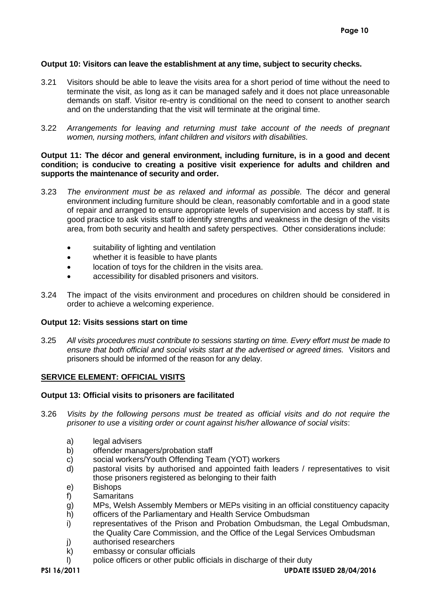## **Output 10: Visitors can leave the establishment at any time, subject to security checks.**

- 3.21 Visitors should be able to leave the visits area for a short period of time without the need to terminate the visit, as long as it can be managed safely and it does not place unreasonable demands on staff. Visitor re-entry is conditional on the need to consent to another search and on the understanding that the visit will terminate at the original time.
- 3.22 *Arrangements for leaving and returning must take account of the needs of pregnant women, nursing mothers, infant children and visitors with disabilities.*

#### **Output 11: The décor and general environment, including furniture, is in a good and decent condition; is conducive to creating a positive visit experience for adults and children and supports the maintenance of security and order.**

- 3.23 *The environment must be as relaxed and informal as possible.* The décor and general environment including furniture should be clean, reasonably comfortable and in a good state of repair and arranged to ensure appropriate levels of supervision and access by staff. It is good practice to ask visits staff to identify strengths and weakness in the design of the visits area, from both security and health and safety perspectives. Other considerations include:
	- suitability of lighting and ventilation
	- whether it is feasible to have plants
	- location of toys for the children in the visits area.
	- accessibility for disabled prisoners and visitors.
- 3.24 The impact of the visits environment and procedures on children should be considered in order to achieve a welcoming experience.

#### **Output 12: Visits sessions start on time**

3.25 *All visits procedures must contribute to sessions starting on time. Every effort must be made to ensure that both official and social visits start at the advertised or agreed times.* Visitors and prisoners should be informed of the reason for any delay.

#### **SERVICE ELEMENT: OFFICIAL VISITS**

#### **Output 13: Official visits to prisoners are facilitated**

- 3.26 *Visits by the following persons must be treated as official visits and do not require the prisoner to use a visiting order or count against his/her allowance of social visits*:
	- a) legal advisers
	- b) offender managers/probation staff
	- c) social workers/Youth Offending Team (YOT) workers
	- d) pastoral visits by authorised and appointed faith leaders / representatives to visit those prisoners registered as belonging to their faith
	- e) Bishops
	- f) Samaritans
	- g) MPs, Welsh Assembly Members or MEPs visiting in an official constituency capacity
	- h) officers of the Parliamentary and Health Service Ombudsman
	- i) representatives of the Prison and Probation Ombudsman, the Legal Ombudsman, the Quality Care Commission, and the Office of the Legal Services Ombudsman
	- j) authorised researchers
	- k) embassy or consular officials
	- l) police officers or other public officials in discharge of their duty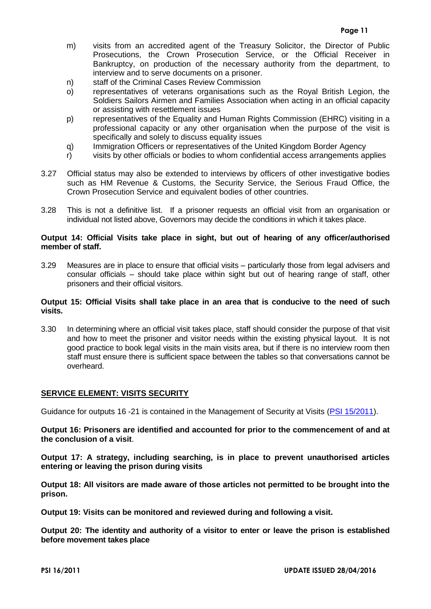- m) visits from an accredited agent of the Treasury Solicitor, the Director of Public Prosecutions, the Crown Prosecution Service, or the Official Receiver in Bankruptcy, on production of the necessary authority from the department, to interview and to serve documents on a prisoner.
- n) staff of the Criminal Cases Review Commission
- o) representatives of veterans organisations such as the Royal British Legion, the Soldiers Sailors Airmen and Families Association when acting in an official capacity or assisting with resettlement issues
- p) representatives of the Equality and Human Rights Commission (EHRC) visiting in a professional capacity or any other organisation when the purpose of the visit is specifically and solely to discuss equality issues
- q) Immigration Officers or representatives of the United Kingdom Border Agency
- r) visits by other officials or bodies to whom confidential access arrangements applies
- 3.27 Official status may also be extended to interviews by officers of other investigative bodies such as HM Revenue & Customs, the Security Service, the Serious Fraud Office, the Crown Prosecution Service and equivalent bodies of other countries.
- 3.28 This is not a definitive list. If a prisoner requests an official visit from an organisation or individual not listed above, Governors may decide the conditions in which it takes place.

## **Output 14: Official Visits take place in sight, but out of hearing of any officer/authorised member of staff.**

3.29 Measures are in place to ensure that official visits – particularly those from legal advisers and consular officials – should take place within sight but out of hearing range of staff, other prisoners and their official visitors.

#### **Output 15: Official Visits shall take place in an area that is conducive to the need of such visits.**

3.30 In determining where an official visit takes place, staff should consider the purpose of that visit and how to meet the prisoner and visitor needs within the existing physical layout. It is not good practice to book legal visits in the main visits area, but if there is no interview room then staff must ensure there is sufficient space between the tables so that conversations cannot be overheard.

## **SERVICE ELEMENT: VISITS SECURITY**

Guidance for outputs 16 -21 is contained in the Management of Security at Visits [\(PSI 15/2011\)](https://intranet.noms.gsi.gov.uk/__data/assets/word_doc/0006/6963/PSI-15-2011-Management-and-Security-at-Visits.doc).

**Output 16: Prisoners are identified and accounted for prior to the commencement of and at the conclusion of a visit**.

**Output 17: A strategy, including searching, is in place to prevent unauthorised articles entering or leaving the prison during visits**

**Output 18: All visitors are made aware of those articles not permitted to be brought into the prison.** 

**Output 19: Visits can be monitored and reviewed during and following a visit.**

**Output 20: The identity and authority of a visitor to enter or leave the prison is established before movement takes place**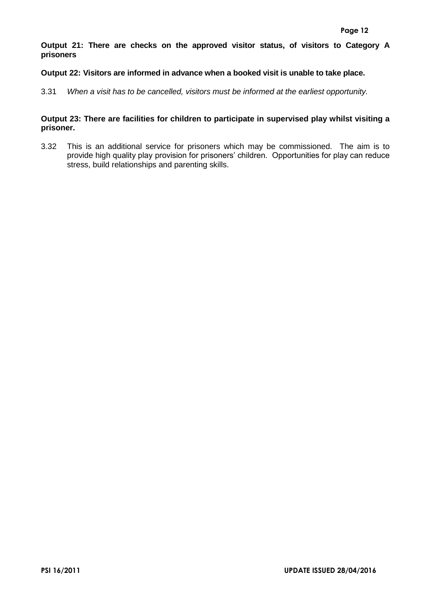**Output 21: There are checks on the approved visitor status, of visitors to Category A prisoners** 

## **Output 22: Visitors are informed in advance when a booked visit is unable to take place.**

3.31 *When a visit has to be cancelled, visitors must be informed at the earliest opportunity.*

## **Output 23: There are facilities for children to participate in supervised play whilst visiting a prisoner.**

3.32 This is an additional service for prisoners which may be commissioned. The aim is to provide high quality play provision for prisoners' children. Opportunities for play can reduce stress, build relationships and parenting skills.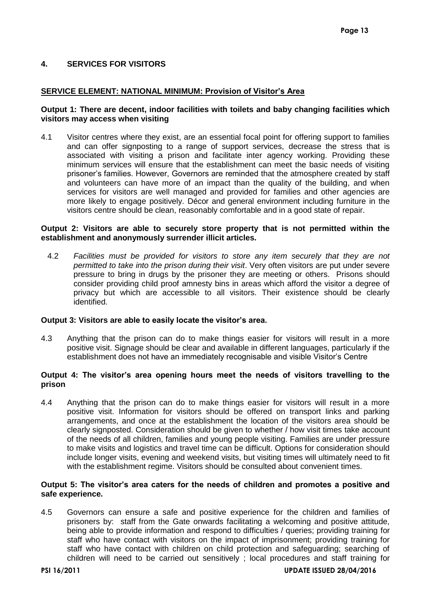## <span id="page-14-0"></span>**4. SERVICES FOR VISITORS**

## **SERVICE ELEMENT: NATIONAL MINIMUM: Provision of Visitor's Area**

## **Output 1: There are decent, indoor facilities with toilets and baby changing facilities which visitors may access when visiting**

4.1 Visitor centres where they exist, are an essential focal point for offering support to families and can offer signposting to a range of support services, decrease the stress that is associated with visiting a prison and facilitate inter agency working. Providing these minimum services will ensure that the establishment can meet the basic needs of visiting prisoner's families. However, Governors are reminded that the atmosphere created by staff and volunteers can have more of an impact than the quality of the building, and when services for visitors are well managed and provided for families and other agencies are more likely to engage positively. Décor and general environment including furniture in the visitors centre should be clean, reasonably comfortable and in a good state of repair.

#### **Output 2: Visitors are able to securely store property that is not permitted within the establishment and anonymously surrender illicit articles.**

4.2 *Facilities must be provided for visitors to store any item securely that they are not permitted to take into the prison during their visit*. Very often visitors are put under severe pressure to bring in drugs by the prisoner they are meeting or others. Prisons should consider providing child proof amnesty bins in areas which afford the visitor a degree of privacy but which are accessible to all visitors. Their existence should be clearly identified.

## **Output 3: Visitors are able to easily locate the visitor's area.**

4.3 Anything that the prison can do to make things easier for visitors will result in a more positive visit. Signage should be clear and available in different languages, particularly if the establishment does not have an immediately recognisable and visible Visitor's Centre

## **Output 4: The visitor's area opening hours meet the needs of visitors travelling to the prison**

4.4 Anything that the prison can do to make things easier for visitors will result in a more positive visit. Information for visitors should be offered on transport links and parking arrangements, and once at the establishment the location of the visitors area should be clearly signposted. Consideration should be given to whether / how visit times take account of the needs of all children, families and young people visiting. Families are under pressure to make visits and logistics and travel time can be difficult. Options for consideration should include longer visits, evening and weekend visits, but visiting times will ultimately need to fit with the establishment regime. Visitors should be consulted about convenient times.

## **Output 5: The visitor's area caters for the needs of children and promotes a positive and safe experience.**

4.5 Governors can ensure a safe and positive experience for the children and families of prisoners by: staff from the Gate onwards facilitating a welcoming and positive attitude, being able to provide information and respond to difficulties / queries; providing training for staff who have contact with visitors on the impact of imprisonment; providing training for staff who have contact with children on child protection and safeguarding; searching of children will need to be carried out sensitively ; local procedures and staff training for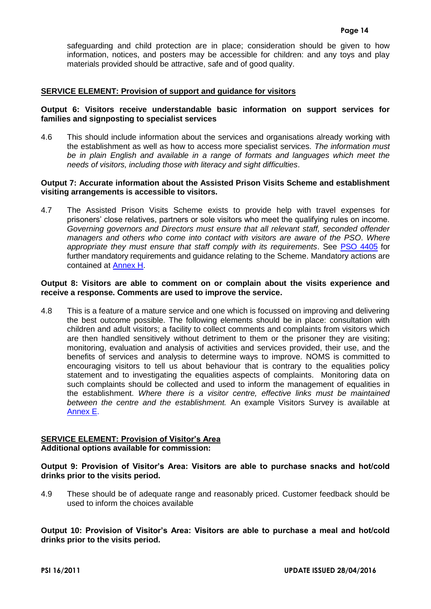safeguarding and child protection are in place; consideration should be given to how information, notices, and posters may be accessible for children: and any toys and play materials provided should be attractive, safe and of good quality.

## **SERVICE ELEMENT: Provision of support and guidance for visitors**

## **Output 6: Visitors receive understandable basic information on support services for families and signposting to specialist services**

4.6 This should include information about the services and organisations already working with the establishment as well as how to access more specialist services. *The information must*  be in plain English and available in a range of formats and languages which meet the *needs of visitors, including those with literacy and sight difficulties*.

#### **Output 7: Accurate information about the Assisted Prison Visits Scheme and establishment visiting arrangements is accessible to visitors.**

4.7 The Assisted Prison Visits Scheme exists to provide help with travel expenses for prisoners' close relatives, partners or sole visitors who meet the qualifying rules on income. *Governing governors and Directors must ensure that all relevant staff, seconded offender managers and others who come into contact with visitors are aware of the PSO*. *Where appropriate they must ensure that staff comply with its requirements*. See [PSO 4405](https://intranet.noms.gsi.gov.uk/__data/assets/word_doc/0019/7327/PSO_4405_assisted_prison_visits.doc) for further mandatory requirements and guidance relating to the Scheme. Mandatory actions are contained at [Annex H.](#page-58-0)

#### **Output 8: Visitors are able to comment on or complain about the visits experience and receive a response. Comments are used to improve the service.**

4.8 This is a feature of a mature service and one which is focussed on improving and delivering the best outcome possible. The following elements should be in place: consultation with children and adult visitors; a facility to collect comments and complaints from visitors which are then handled sensitively without detriment to them or the prisoner they are visiting; monitoring, evaluation and analysis of activities and services provided, their use, and the benefits of services and analysis to determine ways to improve. NOMS is committed to encouraging visitors to tell us about behaviour that is contrary to the equalities policy statement and to investigating the equalities aspects of complaints. Monitoring data on such complaints should be collected and used to inform the management of equalities in the establishment. *Where there is a visitor centre, effective links must be maintained between the centre and the establishment.* An example Visitors Survey is available at [Annex E.](#page-31-0)

#### **SERVICE ELEMENT: Provision of Visitor's Area Additional options available for commission:**

## **Output 9: Provision of Visitor's Area: Visitors are able to purchase snacks and hot/cold drinks prior to the visits period.**

4.9 These should be of adequate range and reasonably priced. Customer feedback should be used to inform the choices available

**Output 10: Provision of Visitor's Area: Visitors are able to purchase a meal and hot/cold drinks prior to the visits period.**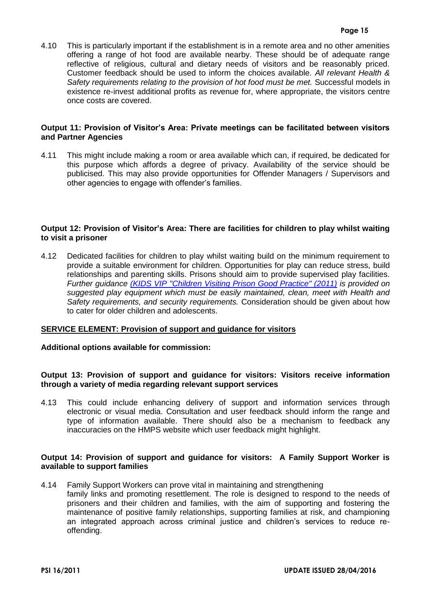4.10 This is particularly important if the establishment is in a remote area and no other amenities offering a range of hot food are available nearby. These should be of adequate range reflective of religious, cultural and dietary needs of visitors and be reasonably priced. Customer feedback should be used to inform the choices available. *All relevant Health & Safety requirements relating to the provision of hot food must be met.* Successful models in existence re-invest additional profits as revenue for, where appropriate, the visitors centre once costs are covered.

#### **Output 11: Provision of Visitor's Area: Private meetings can be facilitated between visitors and Partner Agencies**

4.11 This might include making a room or area available which can, if required, be dedicated for this purpose which affords a degree of privacy. Availability of the service should be publicised. This may also provide opportunities for Offender Managers / Supervisors and other agencies to engage with offender's families.

## **Output 12: Provision of Visitor's Area: There are facilities for children to play whilst waiting to visit a prisoner**

4.12 Dedicated facilities for children to play whilst waiting build on the minimum requirement to provide a suitable environment for children. Opportunities for play can reduce stress, build relationships and parenting skills. Prisons should aim to provide supervised play facilities. *Further guidance [\(KIDS VIP "Children Visiting Prison Good Practice" \(2011\)](http://www.prisonadvice.org.uk/our-services/supporting-practitioners/Kids-vip) is provided on suggested play equipment which must be easily maintained, clean, meet with Health and Safety requirements, and security requirements.* Consideration should be given about how to cater for older children and adolescents.

## **SERVICE ELEMENT: Provision of support and guidance for visitors**

#### **Additional options available for commission:**

## **Output 13: Provision of support and guidance for visitors: Visitors receive information through a variety of media regarding relevant support services**

4.13 This could include enhancing delivery of support and information services through electronic or visual media. Consultation and user feedback should inform the range and type of information available. There should also be a mechanism to feedback any inaccuracies on the HMPS website which user feedback might highlight.

## **Output 14: Provision of support and guidance for visitors: A Family Support Worker is available to support families**

4.14 Family Support Workers can prove vital in maintaining and strengthening family links and promoting resettlement. The role is designed to respond to the needs of prisoners and their children and families, with the aim of supporting and fostering the maintenance of positive family relationships, supporting families at risk, and championing an integrated approach across criminal justice and children's services to reduce reoffending.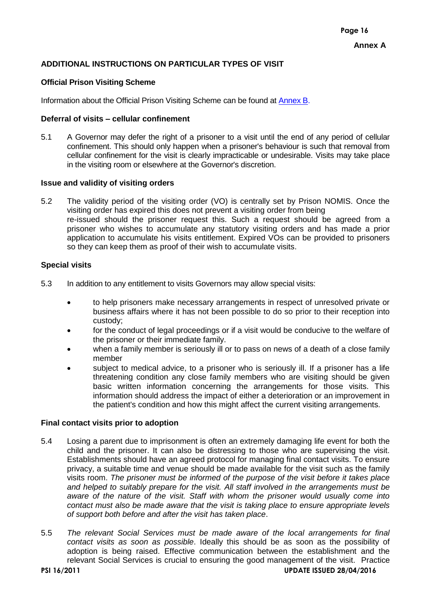## <span id="page-17-0"></span>**ADDITIONAL INSTRUCTIONS ON PARTICULAR TYPES OF VISIT**

## **Official Prison Visiting Scheme**

Information about the Official Prison Visiting Scheme can be found at [Annex B.](#page-25-0)

#### **Deferral of visits – cellular confinement**

5.1 A Governor may defer the right of a prisoner to a visit until the end of any period of cellular confinement. This should only happen when a prisoner's behaviour is such that removal from cellular confinement for the visit is clearly impracticable or undesirable. Visits may take place in the visiting room or elsewhere at the Governor's discretion.

## **Issue and validity of visiting orders**

5.2 The validity period of the visiting order (VO) is centrally set by Prison NOMIS. Once the visiting order has expired this does not prevent a visiting order from being re-issued should the prisoner request this. Such a request should be agreed from a prisoner who wishes to accumulate any statutory visiting orders and has made a prior application to accumulate his visits entitlement. Expired VOs can be provided to prisoners so they can keep them as proof of their wish to accumulate visits.

## **Special visits**

- 5.3 In addition to any entitlement to visits Governors may allow special visits:
	- to help prisoners make necessary arrangements in respect of unresolved private or business affairs where it has not been possible to do so prior to their reception into custody;
	- for the conduct of legal proceedings or if a visit would be conducive to the welfare of the prisoner or their immediate family.
	- when a family member is seriously ill or to pass on news of a death of a close family member
	- subject to medical advice, to a prisoner who is seriously ill. If a prisoner has a life threatening condition any close family members who are visiting should be given basic written information concerning the arrangements for those visits. This information should address the impact of either a deterioration or an improvement in the patient's condition and how this might affect the current visiting arrangements.

## **Final contact visits prior to adoption**

- 5.4 Losing a parent due to imprisonment is often an extremely damaging life event for both the child and the prisoner. It can also be distressing to those who are supervising the visit. Establishments should have an agreed protocol for managing final contact visits. To ensure privacy, a suitable time and venue should be made available for the visit such as the family visits room. *The prisoner must be informed of the purpose of the visit before it takes place and helped to suitably prepare for the visit. All staff involved in the arrangements must be aware of the nature of the visit. Staff with whom the prisoner would usually come into contact must also be made aware that the visit is taking place to ensure appropriate levels of support both before and after the visit has taken place*.
- 5.5 *The relevant Social Services must be made aware of the local arrangements for final contact visits as soon as possible*. Ideally this should be as soon as the possibility of adoption is being raised. Effective communication between the establishment and the relevant Social Services is crucial to ensuring the good management of the visit. Practice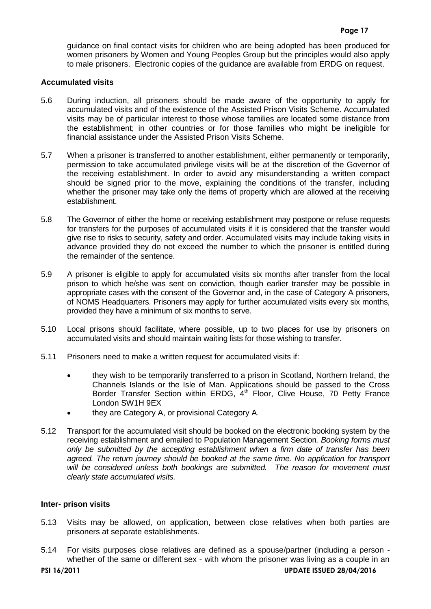guidance on final contact visits for children who are being adopted has been produced for women prisoners by Women and Young Peoples Group but the principles would also apply to male prisoners. Electronic copies of the guidance are available from ERDG on request.

#### **Accumulated visits**

- 5.6 During induction, all prisoners should be made aware of the opportunity to apply for accumulated visits and of the existence of the Assisted Prison Visits Scheme. Accumulated visits may be of particular interest to those whose families are located some distance from the establishment; in other countries or for those families who might be ineligible for financial assistance under the Assisted Prison Visits Scheme.
- 5.7 When a prisoner is transferred to another establishment, either permanently or temporarily, permission to take accumulated privilege visits will be at the discretion of the Governor of the receiving establishment. In order to avoid any misunderstanding a written compact should be signed prior to the move, explaining the conditions of the transfer, including whether the prisoner may take only the items of property which are allowed at the receiving establishment.
- 5.8 The Governor of either the home or receiving establishment may postpone or refuse requests for transfers for the purposes of accumulated visits if it is considered that the transfer would give rise to risks to security, safety and order. Accumulated visits may include taking visits in advance provided they do not exceed the number to which the prisoner is entitled during the remainder of the sentence.
- 5.9 A prisoner is eligible to apply for accumulated visits six months after transfer from the local prison to which he/she was sent on conviction, though earlier transfer may be possible in appropriate cases with the consent of the Governor and, in the case of Category A prisoners, of NOMS Headquarters. Prisoners may apply for further accumulated visits every six months, provided they have a minimum of six months to serve.
- 5.10 Local prisons should facilitate, where possible, up to two places for use by prisoners on accumulated visits and should maintain waiting lists for those wishing to transfer.
- 5.11 Prisoners need to make a written request for accumulated visits if:
	- they wish to be temporarily transferred to a prison in Scotland, Northern Ireland, the Channels Islands or the Isle of Man. Applications should be passed to the Cross Border Transfer Section within ERDG, 4<sup>th</sup> Floor, Clive House, 70 Petty France London SW1H 9EX
	- they are Category A, or provisional Category A.
- 5.12 Transport for the accumulated visit should be booked on the electronic booking system by the receiving establishment and emailed to Population Management Section*. Booking forms must only be submitted by the accepting establishment when a firm date of transfer has been agreed. The return journey should be booked at the same time. No application for transport will be considered unless both bookings are submitted. The reason for movement must clearly state accumulated visits.*

#### **Inter- prison visits**

- 5.13 Visits may be allowed, on application, between close relatives when both parties are prisoners at separate establishments.
- 5.14 For visits purposes close relatives are defined as a spouse/partner (including a person whether of the same or different sex - with whom the prisoner was living as a couple in an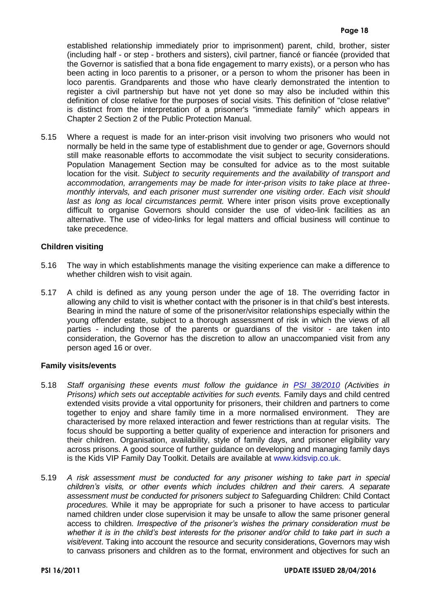established relationship immediately prior to imprisonment) parent, child, brother, sister (including half - or step - brothers and sisters), civil partner, fiancé or fiancée (provided that the Governor is satisfied that a bona fide engagement to marry exists), or a person who has been acting in loco parentis to a prisoner, or a person to whom the prisoner has been in loco parentis. Grandparents and those who have clearly demonstrated the intention to register a civil partnership but have not yet done so may also be included within this definition of close relative for the purposes of social visits. This definition of "close relative" is distinct from the interpretation of a prisoner's "immediate family" which appears in Chapter 2 Section 2 of the Public Protection Manual.

5.15 Where a request is made for an inter-prison visit involving two prisoners who would not normally be held in the same type of establishment due to gender or age, Governors should still make reasonable efforts to accommodate the visit subject to security considerations. Population Management Section may be consulted for advice as to the most suitable location for the visit. *Subject to security requirements and the availability of transport and accommodation, arrangements may be made for inter-prison visits to take place at threemonthly intervals, and each prisoner must surrender one visiting order. Each visit should last as long as local circumstances permit.* Where inter prison visits prove exceptionally difficult to organise Governors should consider the use of video-link facilities as an alternative. The use of video-links for legal matters and official business will continue to take precedence.

## **Children visiting**

- 5.16 The way in which establishments manage the visiting experience can make a difference to whether children wish to visit again.
- 5.17 A child is defined as any young person under the age of 18. The overriding factor in allowing any child to visit is whether contact with the prisoner is in that child's best interests. Bearing in mind the nature of some of the prisoner/visitor relationships especially within the young offender estate, subject to a thorough assessment of risk in which the views of all parties - including those of the parents or guardians of the visitor - are taken into consideration, the Governor has the discretion to allow an unaccompanied visit from any person aged 16 or over.

#### **Family visits/events**

- 5.18 *Staff organising these events must follow the guidance in [PSI 38/2010](https://intranet.noms.gsi.gov.uk/__data/assets/word_doc/0004/6871/psi_2010_38_activities_in_prisons.doc) (Activities in Prisons) which sets out acceptable activities for such events.* Family days and child centred extended visits provide a vital opportunity for prisoners, their children and partners to come together to enjoy and share family time in a more normalised environment. They are characterised by more relaxed interaction and fewer restrictions than at regular visits. The focus should be supporting a better quality of experience and interaction for prisoners and their children. Organisation, availability, style of family days, and prisoner eligibility vary across prisons. A good source of further guidance on developing and managing family days is the Kids VIP Family Day Toolkit. Details are available at [www.kidsvip.co.uk.](http://www.kidsvip.co.uk/single.htm?ipg=10745)
- 5.19 *A risk assessment must be conducted for any prisoner wishing to take part in special children's visits, or other events which includes children and their carers. A separate assessment must be conducted for prisoners subject to* Safeguarding Children: Child Contact *procedures*. While it may be appropriate for such a prisoner to have access to particular named children under close supervision it may be unsafe to allow the same prisoner general access to children. *Irrespective of the prisoner's wishes the primary consideration must be*  whether it is in the child's best interests for the prisoner and/or child to take part in such a *visit/event*. Taking into account the resource and security considerations, Governors may wish to canvass prisoners and children as to the format, environment and objectives for such an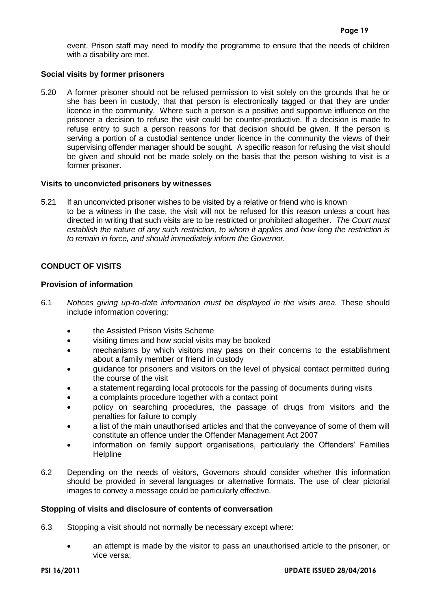event. Prison staff may need to modify the programme to ensure that the needs of children with a disability are met.

## **Social visits by former prisoners**

5.20 A former prisoner should not be refused permission to visit solely on the grounds that he or she has been in custody, that that person is electronically tagged or that they are under licence in the community. Where such a person is a positive and supportive influence on the prisoner a decision to refuse the visit could be counter-productive. If a decision is made to refuse entry to such a person reasons for that decision should be given. If the person is serving a portion of a custodial sentence under licence in the community the views of their supervising offender manager should be sought. A specific reason for refusing the visit should be given and should not be made solely on the basis that the person wishing to visit is a former prisoner.

#### **Visits to unconvicted prisoners by witnesses**

5.21 If an unconvicted prisoner wishes to be visited by a relative or friend who is known to be a witness in the case, the visit will not be refused for this reason unless a court has directed in writing that such visits are to be restricted or prohibited altogether. *The Court must establish the nature of any such restriction, to whom it applies and how long the restriction is to remain in force, and should immediately inform the Governor.*

## <span id="page-20-0"></span>**CONDUCT OF VISITS**

## **Provision of information**

- 6.1 *Notices giving up-to-date information must be displayed in the visits area.* These should include information covering:
	- **the Assisted Prison Visits Scheme**
	- visiting times and how social visits may be booked
	- mechanisms by which visitors may pass on their concerns to the establishment about a family member or friend in custody
	- guidance for prisoners and visitors on the level of physical contact permitted during the course of the visit
	- a statement regarding local protocols for the passing of documents during visits
	- a complaints procedure together with a contact point
	- policy on searching procedures, the passage of drugs from visitors and the penalties for failure to comply
	- a list of the main unauthorised articles and that the conveyance of some of them will constitute an offence under the Offender Management Act 2007
	- information on family support organisations, particularly the Offenders' Families **Helpline**
- 6.2 Depending on the needs of visitors, Governors should consider whether this information should be provided in several languages or alternative formats. The use of clear pictorial images to convey a message could be particularly effective.

#### **Stopping of visits and disclosure of contents of conversation**

6.3 Stopping a visit should not normally be necessary except where:

 an attempt is made by the visitor to pass an unauthorised article to the prisoner, or vice versa;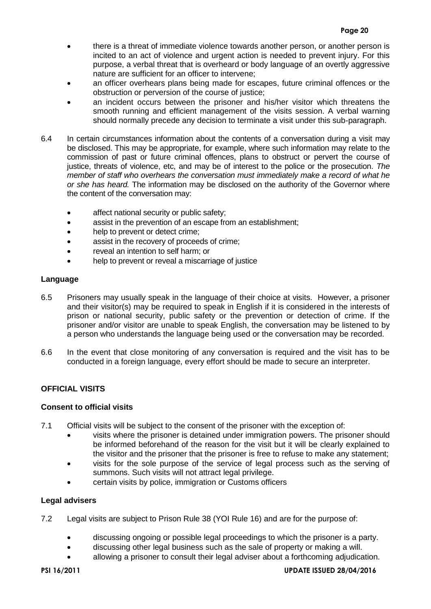- there is a threat of immediate violence towards another person, or another person is incited to an act of violence and urgent action is needed to prevent injury. For this purpose, a verbal threat that is overheard or body language of an overtly aggressive nature are sufficient for an officer to intervene;
- an officer overhears plans being made for escapes, future criminal offences or the obstruction or perversion of the course of justice;
- an incident occurs between the prisoner and his/her visitor which threatens the smooth running and efficient management of the visits session. A verbal warning should normally precede any decision to terminate a visit under this sub-paragraph.
- 6.4 In certain circumstances information about the contents of a conversation during a visit may be disclosed. This may be appropriate, for example, where such information may relate to the commission of past or future criminal offences, plans to obstruct or pervert the course of justice, threats of violence, etc, and may be of interest to the police or the prosecution. *The member of staff who overhears the conversation must immediately make a record of what he or she has heard.* The information may be disclosed on the authority of the Governor where the content of the conversation may:
	- affect national security or public safety;
	- assist in the prevention of an escape from an establishment;
	- help to prevent or detect crime;
	- assist in the recovery of proceeds of crime;
	- reveal an intention to self harm; or
	- help to prevent or reveal a miscarriage of justice

## **Language**

- 6.5 Prisoners may usually speak in the language of their choice at visits. However, a prisoner and their visitor(s) may be required to speak in English if it is considered in the interests of prison or national security, public safety or the prevention or detection of crime. If the prisoner and/or visitor are unable to speak English, the conversation may be listened to by a person who understands the language being used or the conversation may be recorded.
- 6.6 In the event that close monitoring of any conversation is required and the visit has to be conducted in a foreign language, every effort should be made to secure an interpreter.

# <span id="page-21-0"></span>**OFFICIAL VISITS**

## **Consent to official visits**

- 7.1 Official visits will be subject to the consent of the prisoner with the exception of:
	- visits where the prisoner is detained under immigration powers. The prisoner should be informed beforehand of the reason for the visit but it will be clearly explained to the visitor and the prisoner that the prisoner is free to refuse to make any statement;
	- visits for the sole purpose of the service of legal process such as the serving of summons. Such visits will not attract legal privilege.
	- certain visits by police, immigration or Customs officers

## **Legal advisers**

- 7.2 Legal visits are subject to Prison Rule 38 (YOI Rule 16) and are for the purpose of:
	- discussing ongoing or possible legal proceedings to which the prisoner is a party.
	- discussing other legal business such as the sale of property or making a will.
	- allowing a prisoner to consult their legal adviser about a forthcoming adjudication.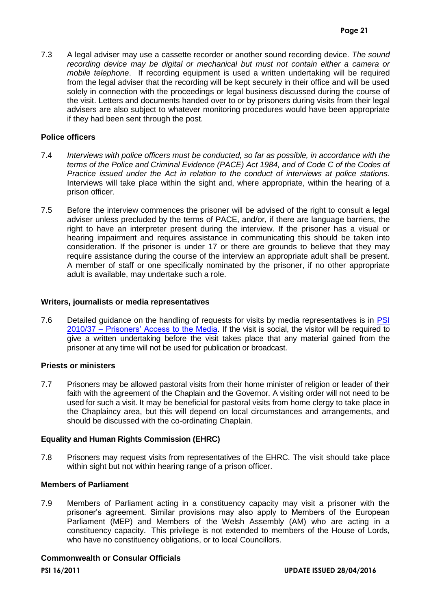7.3 A legal adviser may use a cassette recorder or another sound recording device. *The sound*  recording device may be digital or mechanical but must not contain either a camera or *mobile telephone*. If recording equipment is used a written undertaking will be required from the legal adviser that the recording will be kept securely in their office and will be used solely in connection with the proceedings or legal business discussed during the course of the visit. Letters and documents handed over to or by prisoners during visits from their legal advisers are also subject to whatever monitoring procedures would have been appropriate if they had been sent through the post.

#### **Police officers**

- 7.4 *Interviews with police officers must be conducted, so far as possible, in accordance with the terms of the Police and Criminal Evidence (PACE) Act 1984, and of Code C of the Codes of Practice issued under the Act in relation to the conduct of interviews at police stations.* Interviews will take place within the sight and, where appropriate, within the hearing of a prison officer.
- 7.5 Before the interview commences the prisoner will be advised of the right to consult a legal adviser unless precluded by the terms of PACE, and/or, if there are language barriers, the right to have an interpreter present during the interview. If the prisoner has a visual or hearing impairment and requires assistance in communicating this should be taken into consideration. If the prisoner is under 17 or there are grounds to believe that they may require assistance during the course of the interview an appropriate adult shall be present. A member of staff or one specifically nominated by the prisoner, if no other appropriate adult is available, may undertake such a role.

#### **Writers, journalists or media representatives**

7.6 Detailed guidance on the handling of requests for visits by media representatives is in PSI 2010/37 – [Prisoners' Access to the Media.](https://intranet.noms.gsi.gov.uk/__data/assets/word_doc/0011/6869/psi_2010_37_prisoners_access_to_the_media.doc) If the visit is social, the visitor will be required to give a written undertaking before the visit takes place that any material gained from the prisoner at any time will not be used for publication or broadcast.

#### **Priests or ministers**

7.7 Prisoners may be allowed pastoral visits from their home minister of religion or leader of their faith with the agreement of the Chaplain and the Governor. A visiting order will not need to be used for such a visit. It may be beneficial for pastoral visits from home clergy to take place in the Chaplaincy area, but this will depend on local circumstances and arrangements, and should be discussed with the co-ordinating Chaplain.

## **Equality and Human Rights Commission (EHRC)**

7.8 Prisoners may request visits from representatives of the EHRC. The visit should take place within sight but not within hearing range of a prison officer.

#### **Members of Parliament**

7.9 Members of Parliament acting in a constituency capacity may visit a prisoner with the prisoner's agreement. Similar provisions may also apply to Members of the European Parliament (MEP) and Members of the Welsh Assembly (AM) who are acting in a constituency capacity. This privilege is not extended to members of the House of Lords, who have no constituency obligations, or to local Councillors.

#### **Commonwealth or Consular Officials**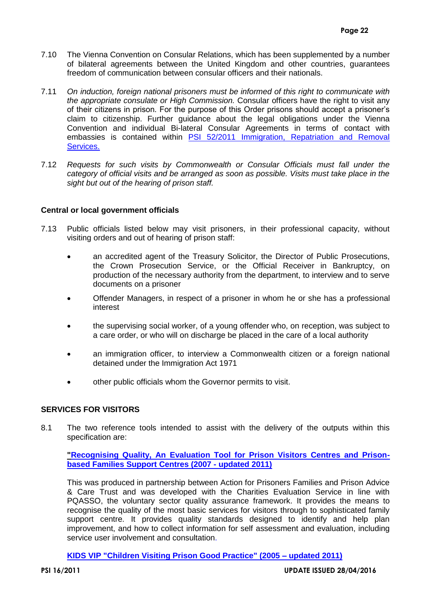- 7.10 The Vienna Convention on Consular Relations, which has been supplemented by a number of bilateral agreements between the United Kingdom and other countries, guarantees freedom of communication between consular officers and their nationals.
- 7.11 *On induction, foreign national prisoners must be informed of this right to communicate with the appropriate consulate or High Commission.* Consular officers have the right to visit any of their citizens in prison. For the purpose of this Order prisons should accept a prisoner's claim to citizenship. Further guidance about the legal obligations under the Vienna Convention and individual Bi-lateral Consular Agreements in terms of contact with embassies is contained within PSI [52/2011 Immigration, Repatriation and Removal](https://intranet.noms.gsi.gov.uk/__data/assets/word_doc/0012/7041/psi-52-2011.doc)  [Services.](https://intranet.noms.gsi.gov.uk/__data/assets/word_doc/0012/7041/psi-52-2011.doc)
- 7.12 *Requests for such visits by Commonwealth or Consular Officials must fall under the category of official visits and be arranged as soon as possible. Visits must take place in the sight but out of the hearing of prison staff.*

## **Central or local government officials**

- 7.13 Public officials listed below may visit prisoners, in their professional capacity, without visiting orders and out of hearing of prison staff:
	- an accredited agent of the Treasury Solicitor, the Director of Public Prosecutions, the Crown Prosecution Service, or the Official Receiver in Bankruptcy, on production of the necessary authority from the department, to interview and to serve documents on a prisoner
	- Offender Managers, in respect of a prisoner in whom he or she has a professional interest
	- the supervising social worker, of a young offender who, on reception, was subject to a care order, or who will on discharge be placed in the care of a local authority
	- an immigration officer, to interview a Commonwealth citizen or a foreign national detained under the Immigration Act 1971
	- other public officials whom the Governor permits to visit.

## <span id="page-23-0"></span>**SERVICES FOR VISITORS**

8.1 The two reference tools intended to assist with the delivery of the outputs within this specification are:

**["Recognising Quality, An Evaluation Tool for Prison Visitors Centres and Prison](http://home.hmps.noms.root/Intranet/ShowBinary?nodeId=/Repo/HQ/internal_communications/guide_handbook_manual/recognising_quality_third_edition_2011.pdf)[based Families Support Centres \(2007 -](http://home.hmps.noms.root/Intranet/ShowBinary?nodeId=/Repo/HQ/internal_communications/guide_handbook_manual/recognising_quality_third_edition_2011.pdf) updated 2011)**

This was produced in partnership between Action for Prisoners Families and Prison Advice & Care Trust and was developed with the Charities Evaluation Service in line with PQASSO, the voluntary sector quality assurance framework. It provides the means to recognise the quality of the most basic services for visitors through to sophisticated family support centre. It provides quality standards designed to identify and help plan improvement, and how to collect information for self assessment and evaluation, including service user involvement and consultation.

**[KIDS VIP "Children Visiting Prison Good Practice" \(2005 –](http://www.prisonadvice.org.uk/our-services/supporting-practitioners/Kids-vip) updated 2011)**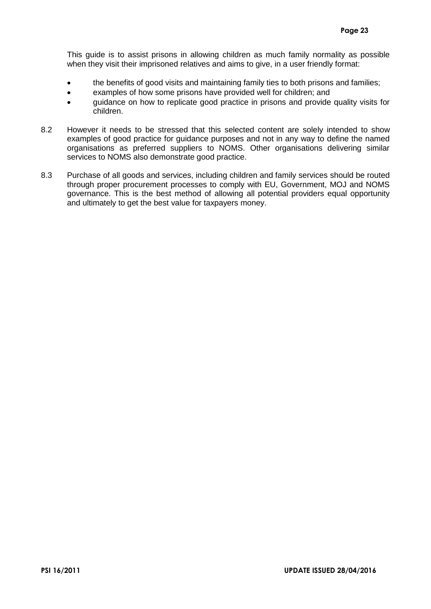This guide is to assist prisons in allowing children as much family normality as possible when they visit their imprisoned relatives and aims to give, in a user friendly format:

- the benefits of good visits and maintaining family ties to both prisons and families;
- examples of how some prisons have provided well for children; and
- quidance on how to replicate good practice in prisons and provide quality visits for children.
- 8.2 However it needs to be stressed that this selected content are solely intended to show examples of good practice for guidance purposes and not in any way to define the named organisations as preferred suppliers to NOMS. Other organisations delivering similar services to NOMS also demonstrate good practice.
- 8.3 Purchase of all goods and services, including children and family services should be routed through proper procurement processes to comply with EU, Government, MOJ and NOMS governance. This is the best method of allowing all potential providers equal opportunity and ultimately to get the best value for taxpayers money.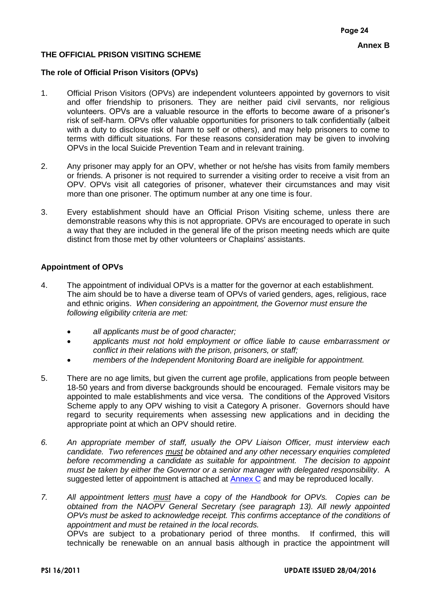# <span id="page-25-0"></span>**THE OFFICIAL PRISON VISITING SCHEME**

## **The role of Official Prison Visitors (OPVs)**

- 1. Official Prison Visitors (OPVs) are independent volunteers appointed by governors to visit and offer friendship to prisoners. They are neither paid civil servants, nor religious volunteers. OPVs are a valuable resource in the efforts to become aware of a prisoner's risk of self-harm. OPVs offer valuable opportunities for prisoners to talk confidentially (albeit with a duty to disclose risk of harm to self or others), and may help prisoners to come to terms with difficult situations. For these reasons consideration may be given to involving OPVs in the local Suicide Prevention Team and in relevant training.
- 2. Any prisoner may apply for an OPV, whether or not he/she has visits from family members or friends. A prisoner is not required to surrender a visiting order to receive a visit from an OPV. OPVs visit all categories of prisoner, whatever their circumstances and may visit more than one prisoner. The optimum number at any one time is four.
- 3. Every establishment should have an Official Prison Visiting scheme, unless there are demonstrable reasons why this is not appropriate. OPVs are encouraged to operate in such a way that they are included in the general life of the prison meeting needs which are quite distinct from those met by other volunteers or Chaplains' assistants.

## **Appointment of OPVs**

- 4. The appointment of individual OPVs is a matter for the governor at each establishment. The aim should be to have a diverse team of OPVs of varied genders, ages, religious, race and ethnic origins. *When considering an appointment, the Governor must ensure the following eligibility criteria are met:*
	- *all applicants must be of good character;*
	- *applicants must not hold employment or office liable to cause embarrassment or conflict in their relations with the prison, prisoners, or staff;*
	- *members of the Independent Monitoring Board are ineligible for appointment.*
- 5. There are no age limits, but given the current age profile, applications from people between 18-50 years and from diverse backgrounds should be encouraged. Female visitors may be appointed to male establishments and vice versa. The conditions of the Approved Visitors Scheme apply to any OPV wishing to visit a Category A prisoner. Governors should have regard to security requirements when assessing new applications and in deciding the appropriate point at which an OPV should retire.
- *6. An appropriate member of staff, usually the OPV Liaison Officer, must interview each candidate. Two references must be obtained and any other necessary enquiries completed before recommending a candidate as suitable for appointment. The decision to appoint must be taken by either the Governor or a senior manager with delegated responsibility*. A suggested letter of appointment is attached at [Annex C](#page-28-0) and may be reproduced locally.
- *7. All appointment letters must have a copy of the Handbook for OPVs. Copies can be obtained from the NAOPV General Secretary (see paragraph 13). All newly appointed OPVs must be asked to acknowledge receipt. This confirms acceptance of the conditions of appointment and must be retained in the local records.*

OPVs are subject to a probationary period of three months. If confirmed, this will technically be renewable on an annual basis although in practice the appointment will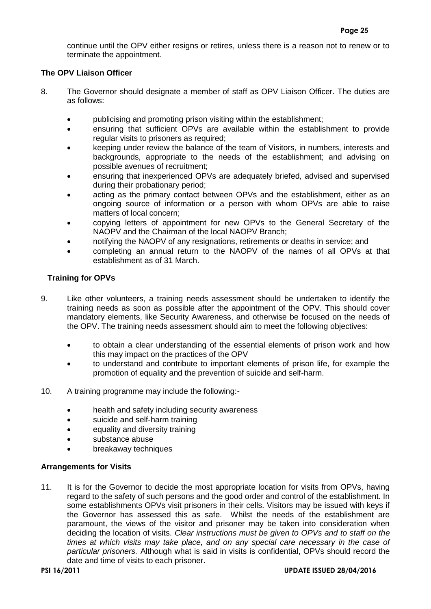continue until the OPV either resigns or retires, unless there is a reason not to renew or to terminate the appointment.

## **The OPV Liaison Officer**

- 8. The Governor should designate a member of staff as OPV Liaison Officer. The duties are as follows:
	- publicising and promoting prison visiting within the establishment;
	- ensuring that sufficient OPVs are available within the establishment to provide regular visits to prisoners as required;
	- keeping under review the balance of the team of Visitors, in numbers, interests and backgrounds, appropriate to the needs of the establishment; and advising on possible avenues of recruitment;
	- ensuring that inexperienced OPVs are adequately briefed, advised and supervised during their probationary period;
	- acting as the primary contact between OPVs and the establishment, either as an ongoing source of information or a person with whom OPVs are able to raise matters of local concern;
	- copying letters of appointment for new OPVs to the General Secretary of the NAOPV and the Chairman of the local NAOPV Branch;
	- notifying the NAOPV of any resignations, retirements or deaths in service; and
	- completing an annual return to the NAOPV of the names of all OPVs at that establishment as of 31 March.

## **Training for OPVs**

- 9. Like other volunteers, a training needs assessment should be undertaken to identify the training needs as soon as possible after the appointment of the OPV. This should cover mandatory elements, like Security Awareness, and otherwise be focused on the needs of the OPV. The training needs assessment should aim to meet the following objectives:
	- to obtain a clear understanding of the essential elements of prison work and how this may impact on the practices of the OPV
	- to understand and contribute to important elements of prison life, for example the promotion of equality and the prevention of suicide and self-harm.
- 10. A training programme may include the following:
	- health and safety including security awareness
	- suicide and self-harm training
	- equality and diversity training
	- substance abuse
	- breakaway techniques

## **Arrangements for Visits**

11. It is for the Governor to decide the most appropriate location for visits from OPVs, having regard to the safety of such persons and the good order and control of the establishment. In some establishments OPVs visit prisoners in their cells. Visitors may be issued with keys if the Governor has assessed this as safe. Whilst the needs of the establishment are paramount, the views of the visitor and prisoner may be taken into consideration when deciding the location of visits. *Clear instructions must be given to OPVs and to staff on the times at which visits may take place, and on any special care necessary in the case of particular prisoners.* Although what is said in visits is confidential, OPVs should record the date and time of visits to each prisoner.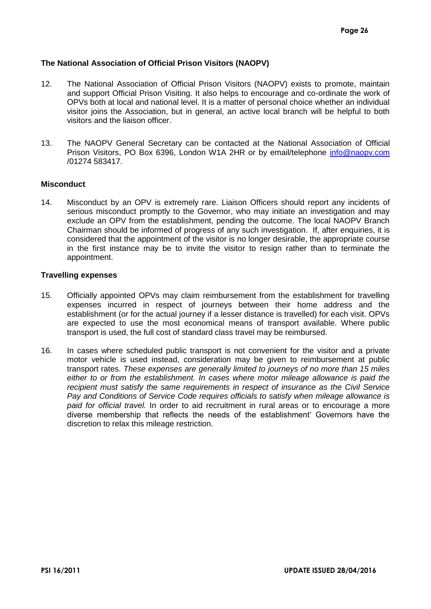## **The National Association of Official Prison Visitors (NAOPV)**

- 12. The National Association of Official Prison Visitors (NAOPV) exists to promote, maintain and support Official Prison Visiting. It also helps to encourage and co-ordinate the work of OPVs both at local and national level. It is a matter of personal choice whether an individual visitor joins the Association, but in general, an active local branch will be helpful to both visitors and the liaison officer.
- 13. The NAOPV General Secretary can be contacted at the National Association of Official Prison Visitors, PO Box 6396, London W1A 2HR or by email/telephone [info@naopv.com](mailto:info@naopv.com) /01274 583417.

#### **Misconduct**

14. Misconduct by an OPV is extremely rare. Liaison Officers should report any incidents of serious misconduct promptly to the Governor, who may initiate an investigation and may exclude an OPV from the establishment, pending the outcome. The local NAOPV Branch Chairman should be informed of progress of any such investigation. If, after enquiries, it is considered that the appointment of the visitor is no longer desirable, the appropriate course in the first instance may be to invite the visitor to resign rather than to terminate the appointment.

#### **Travelling expenses**

- 15. Officially appointed OPVs may claim reimbursement from the establishment for travelling expenses incurred in respect of journeys between their home address and the establishment (or for the actual journey if a lesser distance is travelled) for each visit. OPVs are expected to use the most economical means of transport available. Where public transport is used, the full cost of standard class travel may be reimbursed.
- 16. In cases where scheduled public transport is not convenient for the visitor and a private motor vehicle is used instead, consideration may be given to reimbursement at public transport rates. *These expenses are generally limited to journeys of no more than 15 miles either to or from the establishment. In cases where motor mileage allowance is paid the recipient must satisfy the same requirements in respect of insurance as the Civil Service Pay and Conditions of Service Code requires officials to satisfy when mileage allowance is paid for official travel.* In order to aid recruitment in rural areas or to encourage a more diverse membership that reflects the needs of the establishment' Governors have the discretion to relax this mileage restriction.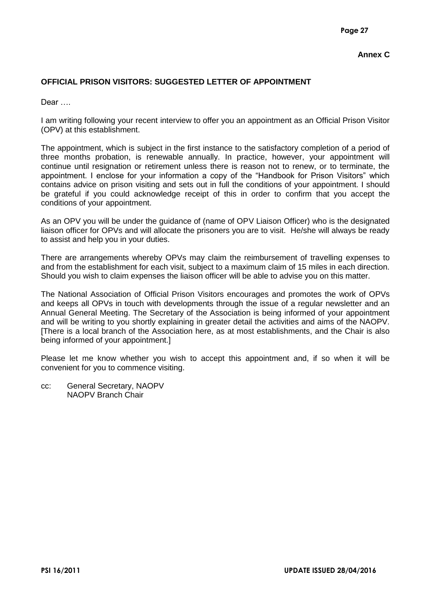# <span id="page-28-0"></span>**Annex C**

# **OFFICIAL PRISON VISITORS: SUGGESTED LETTER OF APPOINTMENT**

Dear ….

I am writing following your recent interview to offer you an appointment as an Official Prison Visitor (OPV) at this establishment.

The appointment, which is subject in the first instance to the satisfactory completion of a period of three months probation, is renewable annually. In practice, however, your appointment will continue until resignation or retirement unless there is reason not to renew, or to terminate, the appointment. I enclose for your information a copy of the "Handbook for Prison Visitors" which contains advice on prison visiting and sets out in full the conditions of your appointment. I should be grateful if you could acknowledge receipt of this in order to confirm that you accept the conditions of your appointment.

As an OPV you will be under the guidance of (name of OPV Liaison Officer) who is the designated liaison officer for OPVs and will allocate the prisoners you are to visit. He/she will always be ready to assist and help you in your duties.

There are arrangements whereby OPVs may claim the reimbursement of travelling expenses to and from the establishment for each visit, subject to a maximum claim of 15 miles in each direction. Should you wish to claim expenses the liaison officer will be able to advise you on this matter.

The National Association of Official Prison Visitors encourages and promotes the work of OPVs and keeps all OPVs in touch with developments through the issue of a regular newsletter and an Annual General Meeting. The Secretary of the Association is being informed of your appointment and will be writing to you shortly explaining in greater detail the activities and aims of the NAOPV. [There is a local branch of the Association here, as at most establishments, and the Chair is also being informed of your appointment.]

Please let me know whether you wish to accept this appointment and, if so when it will be convenient for you to commence visiting.

cc: General Secretary, NAOPV NAOPV Branch Chair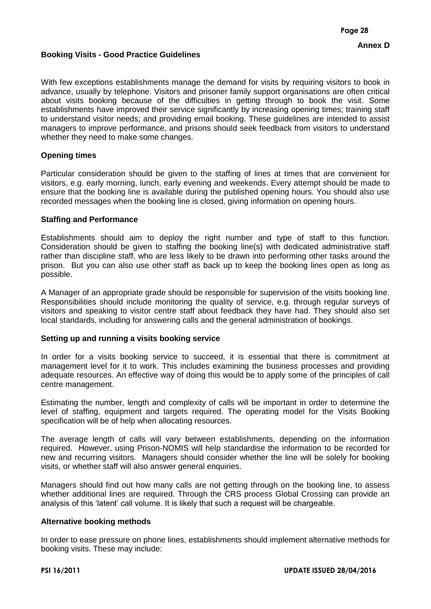#### <span id="page-29-0"></span>**Booking Visits - Good Practice Guidelines**

With few exceptions establishments manage the demand for visits by requiring visitors to book in advance, usually by telephone. Visitors and prisoner family support organisations are often critical about visits booking because of the difficulties in getting through to book the visit. Some establishments have improved their service significantly by increasing opening times; training staff to understand visitor needs; and providing email booking. These guidelines are intended to assist managers to improve performance, and prisons should seek feedback from visitors to understand whether they need to make some changes.

## **Opening times**

Particular consideration should be given to the staffing of lines at times that are convenient for visitors, e.g. early morning, lunch, early evening and weekends. Every attempt should be made to ensure that the booking line is available during the published opening hours. You should also use recorded messages when the booking line is closed, giving information on opening hours.

#### **Staffing and Performance**

Establishments should aim to deploy the right number and type of staff to this function. Consideration should be given to staffing the booking line(s) with dedicated administrative staff rather than discipline staff, who are less likely to be drawn into performing other tasks around the prison. But you can also use other staff as back up to keep the booking lines open as long as possible.

A Manager of an appropriate grade should be responsible for supervision of the visits booking line. Responsibilities should include monitoring the quality of service, e.g. through regular surveys of visitors and speaking to visitor centre staff about feedback they have had. They should also set local standards, including for answering calls and the general administration of bookings.

#### **Setting up and running a visits booking service**

In order for a visits booking service to succeed, it is essential that there is commitment at management level for it to work. This includes examining the business processes and providing adequate resources. An effective way of doing this would be to apply some of the principles of call centre management.

Estimating the number, length and complexity of calls will be important in order to determine the level of staffing, equipment and targets required. The operating model for the Visits Booking specification will be of help when allocating resources.

The average length of calls will vary between establishments, depending on the information required. However, using Prison-NOMIS will help standardise the information to be recorded for new and recurring visitors. Managers should consider whether the line will be solely for booking visits, or whether staff will also answer general enquiries.

Managers should find out how many calls are not getting through on the booking line, to assess whether additional lines are required. Through the CRS process Global Crossing can provide an analysis of this 'latent' call volume. It is likely that such a request will be chargeable.

#### **Alternative booking methods**

In order to ease pressure on phone lines, establishments should implement alternative methods for booking visits. These may include: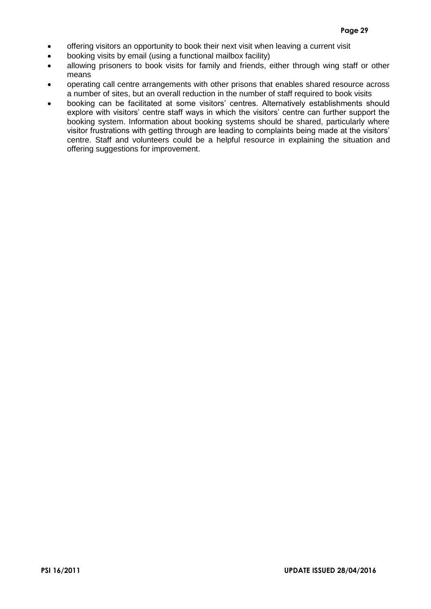- offering visitors an opportunity to book their next visit when leaving a current visit
- booking visits by email (using a functional mailbox facility)
- allowing prisoners to book visits for family and friends, either through wing staff or other means
- operating call centre arrangements with other prisons that enables shared resource across a number of sites, but an overall reduction in the number of staff required to book visits
- booking can be facilitated at some visitors' centres. Alternatively establishments should explore with visitors' centre staff ways in which the visitors' centre can further support the booking system. Information about booking systems should be shared, particularly where visitor frustrations with getting through are leading to complaints being made at the visitors' centre. Staff and volunteers could be a helpful resource in explaining the situation and offering suggestions for improvement.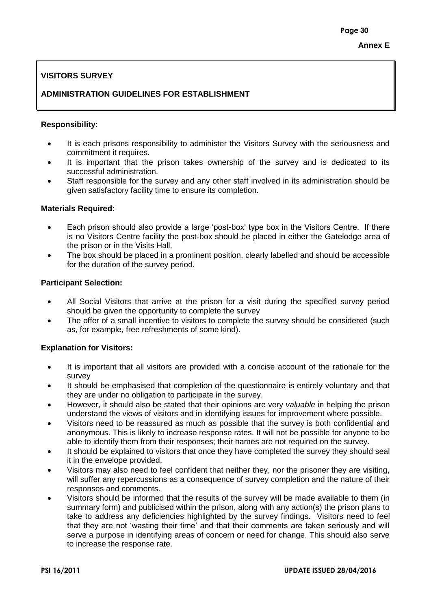# <span id="page-31-0"></span>**VISITORS SURVEY**

# **ADMINISTRATION GUIDELINES FOR ESTABLISHMENT**

## **Responsibility:**

- It is each prisons responsibility to administer the Visitors Survey with the seriousness and commitment it requires.
- It is important that the prison takes ownership of the survey and is dedicated to its successful administration.
- Staff responsible for the survey and any other staff involved in its administration should be given satisfactory facility time to ensure its completion.

## **Materials Required:**

- Each prison should also provide a large 'post-box' type box in the Visitors Centre. If there is no Visitors Centre facility the post-box should be placed in either the Gatelodge area of the prison or in the Visits Hall.
- The box should be placed in a prominent position, clearly labelled and should be accessible for the duration of the survey period.

## **Participant Selection:**

- All Social Visitors that arrive at the prison for a visit during the specified survey period should be given the opportunity to complete the survey
- The offer of a small incentive to visitors to complete the survey should be considered (such as, for example, free refreshments of some kind).

## **Explanation for Visitors:**

- It is important that all visitors are provided with a concise account of the rationale for the survey
- It should be emphasised that completion of the questionnaire is entirely voluntary and that they are under no obligation to participate in the survey.
- However, it should also be stated that their opinions are very *valuable* in helping the prison understand the views of visitors and in identifying issues for improvement where possible.
- Visitors need to be reassured as much as possible that the survey is both confidential and anonymous. This is likely to increase response rates. It will not be possible for anyone to be able to identify them from their responses; their names are not required on the survey.
- It should be explained to visitors that once they have completed the survey they should seal it in the envelope provided.
- Visitors may also need to feel confident that neither they, nor the prisoner they are visiting, will suffer any repercussions as a consequence of survey completion and the nature of their responses and comments.
- Visitors should be informed that the results of the survey will be made available to them (in summary form) and publicised within the prison, along with any action(s) the prison plans to take to address any deficiencies highlighted by the survey findings. Visitors need to feel that they are not 'wasting their time' and that their comments are taken seriously and will serve a purpose in identifying areas of concern or need for change. This should also serve to increase the response rate.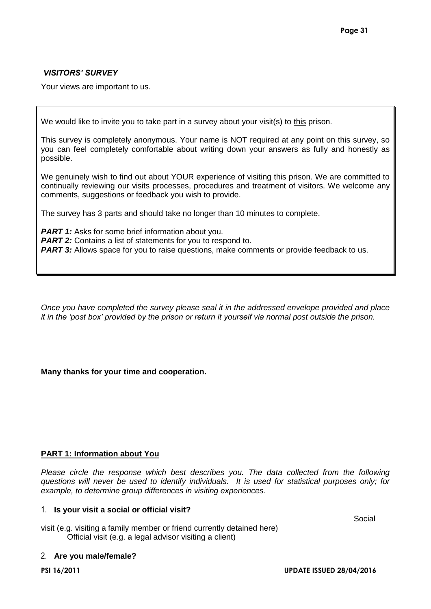# *VISITORS' SURVEY*

Your views are important to us.

We would like to invite you to take part in a survey about your visit(s) to this prison.

This survey is completely anonymous. Your name is NOT required at any point on this survey, so you can feel completely comfortable about writing down your answers as fully and honestly as possible.

We genuinely wish to find out about YOUR experience of visiting this prison. We are committed to continually reviewing our visits processes, procedures and treatment of visitors. We welcome any comments, suggestions or feedback you wish to provide.

The survey has 3 parts and should take no longer than 10 minutes to complete.

*PART 1:* Asks for some brief information about you. **PART 2:** Contains a list of statements for you to respond to. **PART 3:** Allows space for you to raise questions, make comments or provide feedback to us.

*Once you have completed the survey please seal it in the addressed envelope provided and place it in the 'post box' provided by the prison or return it yourself via normal post outside the prison.*

## **Many thanks for your time and cooperation.**

## **PART 1: Information about You**

*Please circle the response which best describes you. The data collected from the following questions will never be used to identify individuals. It is used for statistical purposes only; for example, to determine group differences in visiting experiences.*

## 1. **Is your visit a social or official visit?**

visit (e.g. visiting a family member or friend currently detained here) Official visit (e.g. a legal advisor visiting a client)

## 2. **Are you male/female?**

Social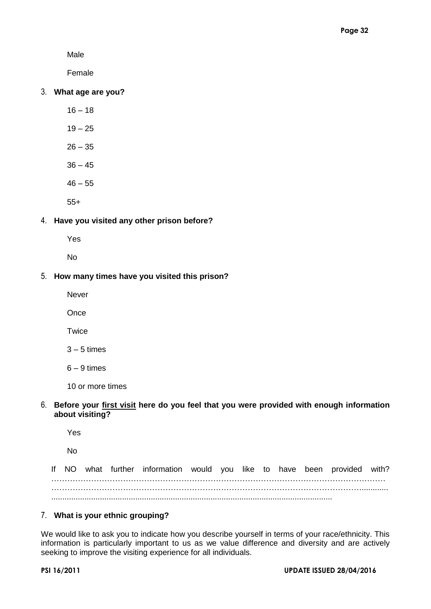Male

Female

## 3. **What age are you?**

- $16 18$
- $19 25$
- $26 35$
- $36 45$
- $46 55$
- 55+

## 4. **Have you visited any other prison before?**

Yes

No

#### 5. **How many times have you visited this prison?**

Never

**Once** 

**Twice** 

 $3 - 5$  times

 $6 - 9$  times

10 or more times

## 6. **Before your first visit here do you feel that you were provided with enough information about visiting?**

Yes

No

If NO what further information would you like to have been provided with? ……………………………………………………………………………………………………………… ………………………………………………………………………………………………………............ ...............................................................................................................................

#### 7. **What is your ethnic grouping?**

We would like to ask you to indicate how you describe yourself in terms of your race/ethnicity. This information is particularly important to us as we value difference and diversity and are actively seeking to improve the visiting experience for all individuals.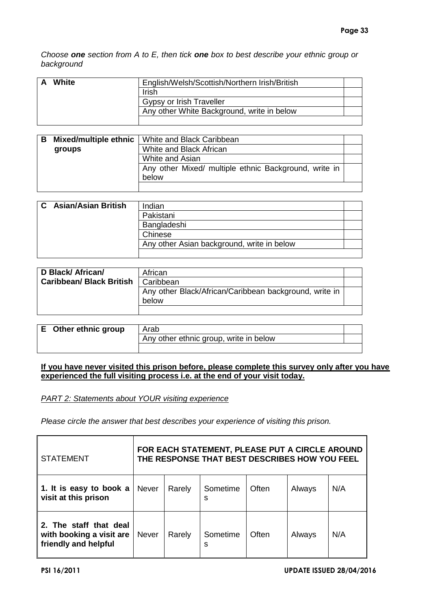*Choose one section from A to E, then tick one box to best describe your ethnic group or background*

| White | English/Welsh/Scottish/Northern Irish/British |  |
|-------|-----------------------------------------------|--|
|       | <b>Irish</b>                                  |  |
|       | Gypsy or Irish Traveller                      |  |
|       | Any other White Background, write in below    |  |
|       |                                               |  |

| в |        | <b>Mixed/multiple ethnic</b>   White and Black Caribbean       |  |
|---|--------|----------------------------------------------------------------|--|
|   | groups | White and Black African                                        |  |
|   |        | White and Asian                                                |  |
|   |        | Any other Mixed/ multiple ethnic Background, write in<br>below |  |
|   |        |                                                                |  |

| <b>C</b> Asian/Asian British | Indian                                     |  |
|------------------------------|--------------------------------------------|--|
|                              | Pakistani                                  |  |
|                              | Bangladeshi                                |  |
|                              | Chinese                                    |  |
|                              | Any other Asian background, write in below |  |
|                              |                                            |  |

| D Black/ African/              | African                                                         |  |
|--------------------------------|-----------------------------------------------------------------|--|
| <b>Caribbean/Black British</b> | Caribbean                                                       |  |
|                                | Any other Black/African/Caribbean background, write in<br>below |  |
|                                |                                                                 |  |

| E Other ethnic group | Arab                                   |  |
|----------------------|----------------------------------------|--|
|                      | Any other ethnic group, write in below |  |
|                      |                                        |  |

## **If you have never visited this prison before, please complete this survey only after you have experienced the full visiting process i.e. at the end of your visit today.**

*PART 2: Statements about YOUR visiting experience*

*Please circle the answer that best describes your experience of visiting this prison.*

| <b>STATEMENT</b>                                                           | FOR EACH STATEMENT, PLEASE PUT A CIRCLE AROUND<br>THE RESPONSE THAT BEST DESCRIBES HOW YOU FEEL |        |               |       |        |     |  |  |
|----------------------------------------------------------------------------|-------------------------------------------------------------------------------------------------|--------|---------------|-------|--------|-----|--|--|
| 1. It is easy to book a<br>visit at this prison                            | <b>Never</b>                                                                                    | Rarely | Sometime<br>s | Often | Always | N/A |  |  |
| 2. The staff that deal<br>with booking a visit are<br>friendly and helpful | <b>Never</b>                                                                                    | Rarely | Sometime<br>s | Often | Always | N/A |  |  |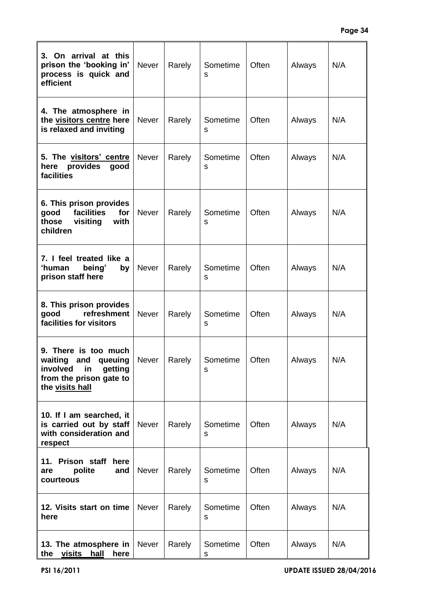| 3. On arrival at this<br>prison the 'booking in'<br>process is quick and<br>efficient                            | Never        | Rarely | Sometime<br>s | Often | Always | N/A |
|------------------------------------------------------------------------------------------------------------------|--------------|--------|---------------|-------|--------|-----|
| 4. The atmosphere in<br>the visitors centre here<br>is relaxed and inviting                                      | <b>Never</b> | Rarely | Sometime<br>s | Often | Always | N/A |
| 5. The visitors' centre<br>here<br>provides<br>good<br>facilities                                                | <b>Never</b> | Rarely | Sometime<br>s | Often | Always | N/A |
| 6. This prison provides<br>facilities<br>for<br>good<br>those<br>visiting<br>with<br>children                    | <b>Never</b> | Rarely | Sometime<br>s | Often | Always | N/A |
| 7. I feel treated like a<br>'human<br>being'<br>by<br>prison staff here                                          | <b>Never</b> | Rarely | Sometime<br>s | Often | Always | N/A |
| 8. This prison provides<br>refreshment<br>good<br>facilities for visitors                                        | <b>Never</b> | Rarely | Sometime<br>s | Often | Always | N/A |
| 9. There is too much<br>waiting and queuing<br>involved in getting<br>from the prison gate to<br>the visits hall | Never        | Rarely | Sometime<br>s | Often | Always | N/A |
| 10. If I am searched, it<br>is carried out by staff<br>with consideration and<br>respect                         | Never        | Rarely | Sometime<br>s | Often | Always | N/A |
| Prison staff<br>11.<br>here<br>polite<br>and<br>are<br>courteous                                                 | Never        | Rarely | Sometime<br>s | Often | Always | N/A |
| 12. Visits start on time<br>here                                                                                 | <b>Never</b> | Rarely | Sometime<br>s | Often | Always | N/A |
| 13. The atmosphere in<br>visits<br>the<br>hall<br>here                                                           | Never        | Rarely | Sometime<br>s | Often | Always | N/A |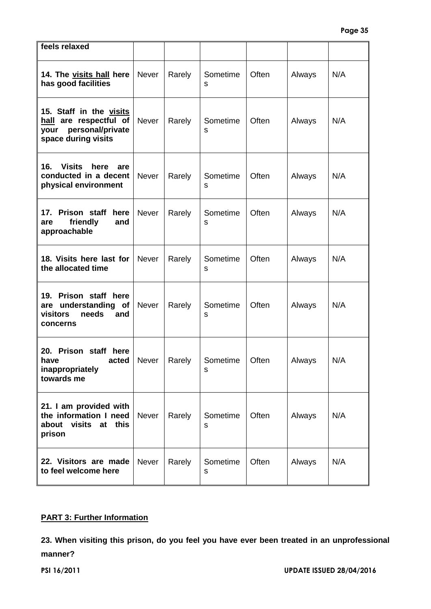| feels relaxed                                                                                        |              |        |               |       |        |     |
|------------------------------------------------------------------------------------------------------|--------------|--------|---------------|-------|--------|-----|
| 14. The visits hall here<br>has good facilities                                                      | Never        | Rarely | Sometime<br>s | Often | Always | N/A |
| 15. Staff in the visits<br>hall are respectful of<br>personal/private<br>your<br>space during visits | <b>Never</b> | Rarely | Sometime<br>s | Often | Always | N/A |
| <b>Visits</b><br>16.<br>here<br>are<br>conducted in a decent<br>physical environment                 | <b>Never</b> | Rarely | Sometime<br>s | Often | Always | N/A |
| Prison staff<br>17.<br>here<br>friendly<br>and<br>are<br>approachable                                | Never        | Rarely | Sometime<br>s | Often | Always | N/A |
| 18. Visits here last for<br>the allocated time                                                       | <b>Never</b> | Rarely | Sometime<br>s | Often | Always | N/A |
| Prison staff here<br>19.<br>are understanding<br><b>of</b><br>visitors<br>needs<br>and<br>concerns   | <b>Never</b> | Rarely | Sometime<br>s | Often | Always | N/A |
| 20. Prison staff here<br>acted<br>have<br>inappropriately<br>towards me                              | Never        | Rarely | Sometime<br>s | Often | Always | N/A |
| 21. I am provided with<br>the information I need<br>about visits at<br>this<br>prison                | <b>Never</b> | Rarely | Sometime<br>s | Often | Always | N/A |
| 22. Visitors are made<br>to feel welcome here                                                        | Never        | Rarely | Sometime<br>s | Often | Always | N/A |

## **PART 3: Further Information**

**23. When visiting this prison, do you feel you have ever been treated in an unprofessional manner?**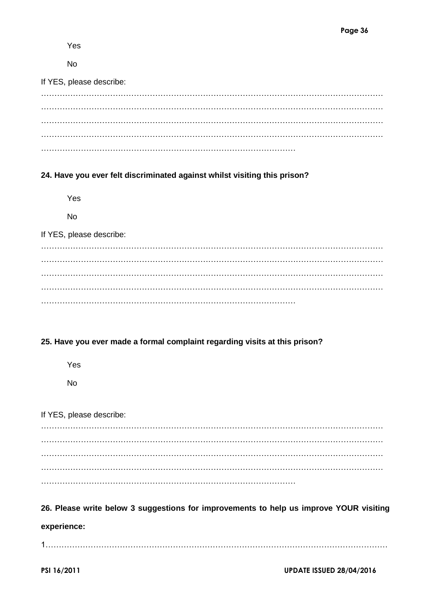Yes

No

| If YES, please describe: |  |  |  |
|--------------------------|--|--|--|
|                          |  |  |  |
|                          |  |  |  |
|                          |  |  |  |
|                          |  |  |  |
|                          |  |  |  |

# **24. Have you ever felt discriminated against whilst visiting this prison?**

Yes

No

If YES, please describe:

………………………………………………………………………………………………………………… ………………………………………………………………………………………………………………… ………………………………………………………………………………………………………………… ………………………………………………………………………………………………………………… ……………………………………………………………………………………

# **25. Have you ever made a formal complaint regarding visits at this prison?**

Yes

No

# If YES, please describe:

………………………………………………………………………………………………………………… ………………………………………………………………………………………………………………… ………………………………………………………………………………………………………………… . The contract of the contract of the contract of the contract of the contract of the contract of the contract of the contract of the contract of the contract of the contract of the contract of the contract of the contrac ……………………………………………………………………………………

# **26. Please write below 3 suggestions for improvements to help us improve YOUR visiting experience:**

1…………………………………………………………………………………………………………………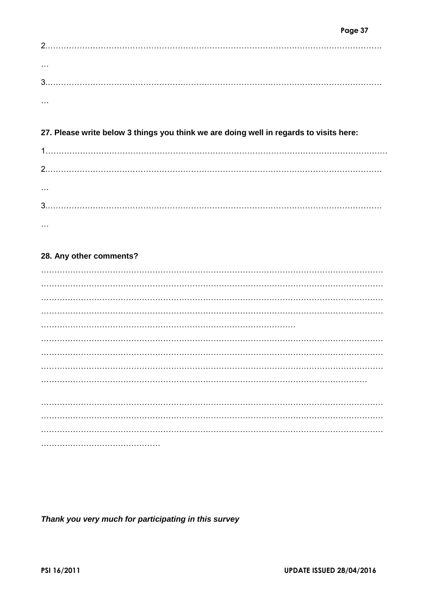| 2. |  |  |  |
|----|--|--|--|
|    |  |  |  |
| .  |  |  |  |
|    |  |  |  |
|    |  |  |  |
| .  |  |  |  |

# 27. Please write below 3 things you think we are doing well in regards to visits here:

| . |  |  |
|---|--|--|
|   |  |  |
| . |  |  |

# 28. Any other comments?

Thank you very much for participating in this survey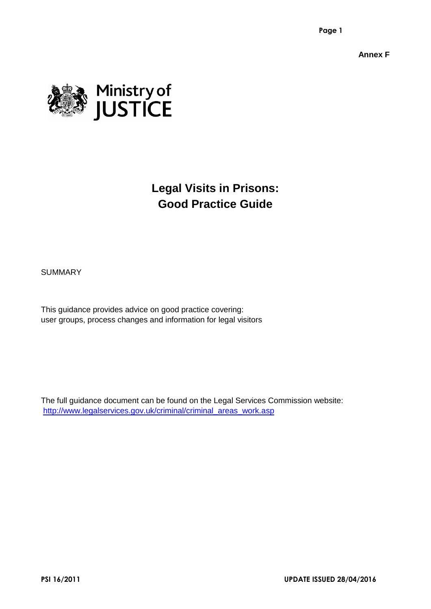**Annex F**

<span id="page-39-0"></span>

# **Legal Visits in Prisons: Good Practice Guide**

**SUMMARY** 

This guidance provides advice on good practice covering: user groups, process changes and information for legal visitors

The full guidance document can be found on the Legal Services Commission website: [http://www.legalservices.gov.uk/criminal/criminal\\_areas\\_work.asp](http://www.legalservices.gov.uk/criminal/criminal_areas_work.asp)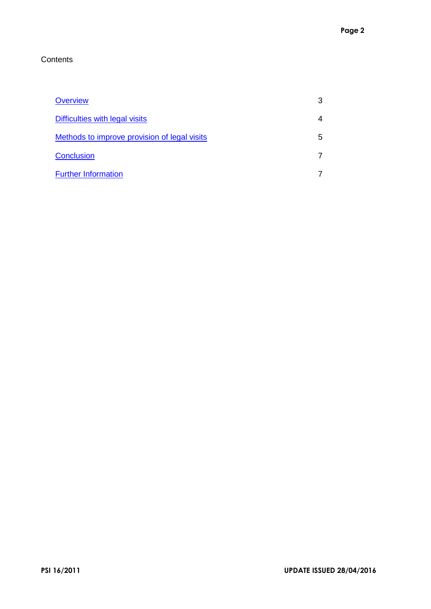# **Contents**

| Overview                                     |   |
|----------------------------------------------|---|
| Difficulties with legal visits               |   |
| Methods to improve provision of legal visits | 5 |
| Conclusion                                   |   |
| <b>Further Information</b>                   |   |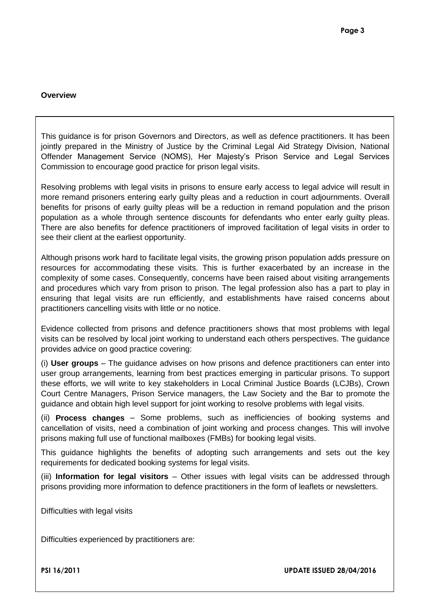## <span id="page-41-0"></span>**Overview**

This guidance is for prison Governors and Directors, as well as defence practitioners. It has been jointly prepared in the Ministry of Justice by the Criminal Legal Aid Strategy Division, National Offender Management Service (NOMS), Her Majesty's Prison Service and Legal Services Commission to encourage good practice for prison legal visits.

Resolving problems with legal visits in prisons to ensure early access to legal advice will result in more remand prisoners entering early guilty pleas and a reduction in court adjournments. Overall benefits for prisons of early guilty pleas will be a reduction in remand population and the prison population as a whole through sentence discounts for defendants who enter early guilty pleas. There are also benefits for defence practitioners of improved facilitation of legal visits in order to see their client at the earliest opportunity.

Although prisons work hard to facilitate legal visits, the growing prison population adds pressure on resources for accommodating these visits. This is further exacerbated by an increase in the complexity of some cases. Consequently, concerns have been raised about visiting arrangements and procedures which vary from prison to prison. The legal profession also has a part to play in ensuring that legal visits are run efficiently, and establishments have raised concerns about practitioners cancelling visits with little or no notice.

Evidence collected from prisons and defence practitioners shows that most problems with legal visits can be resolved by local joint working to understand each others perspectives. The guidance provides advice on good practice covering:

(i) **User groups** – The guidance advises on how prisons and defence practitioners can enter into user group arrangements, learning from best practices emerging in particular prisons. To support these efforts, we will write to key stakeholders in Local Criminal Justice Boards (LCJBs), Crown Court Centre Managers, Prison Service managers, the Law Society and the Bar to promote the guidance and obtain high level support for joint working to resolve problems with legal visits.

(ii) **Process changes** – Some problems, such as inefficiencies of booking systems and cancellation of visits, need a combination of joint working and process changes. This will involve prisons making full use of functional mailboxes (FMBs) for booking legal visits.

This guidance highlights the benefits of adopting such arrangements and sets out the key requirements for dedicated booking systems for legal visits.

(iii) **Information for legal visitors** – Other issues with legal visits can be addressed through prisons providing more information to defence practitioners in the form of leaflets or newsletters.

<span id="page-41-1"></span>Difficulties with legal visits

Difficulties experienced by practitioners are:

**PSI 16/2011 UPDATE ISSUED 28/04/2016**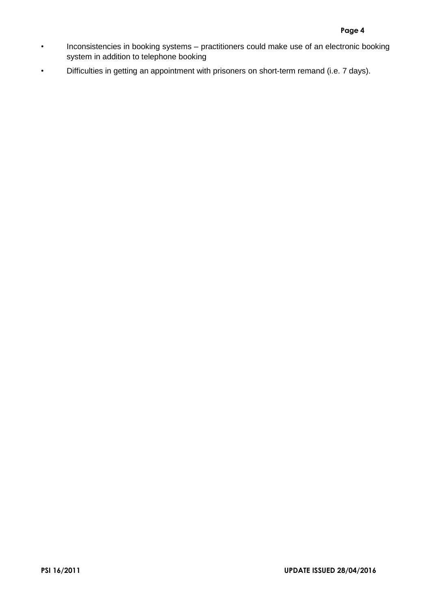- Inconsistencies in booking systems practitioners could make use of an electronic booking system in addition to telephone booking
- Difficulties in getting an appointment with prisoners on short-term remand (i.e. 7 days).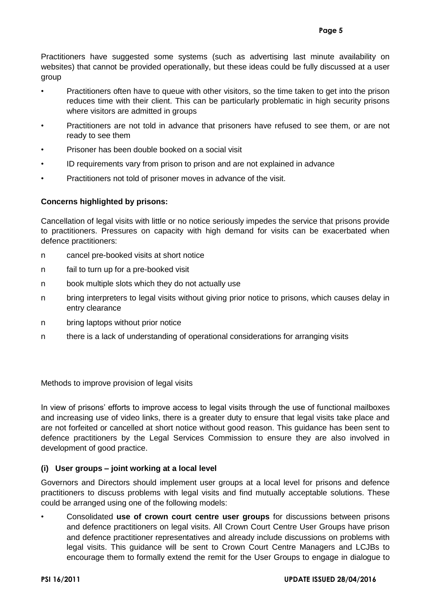Practitioners have suggested some systems (such as advertising last minute availability on websites) that cannot be provided operationally, but these ideas could be fully discussed at a user group

- Practitioners often have to queue with other visitors, so the time taken to get into the prison reduces time with their client. This can be particularly problematic in high security prisons where visitors are admitted in groups
- Practitioners are not told in advance that prisoners have refused to see them, or are not ready to see them
- Prisoner has been double booked on a social visit
- ID requirements vary from prison to prison and are not explained in advance
- Practitioners not told of prisoner moves in advance of the visit.

## **Concerns highlighted by prisons:**

Cancellation of legal visits with little or no notice seriously impedes the service that prisons provide to practitioners. Pressures on capacity with high demand for visits can be exacerbated when defence practitioners:

- n cancel pre-booked visits at short notice
- n fail to turn up for a pre-booked visit
- n book multiple slots which they do not actually use
- n bring interpreters to legal visits without giving prior notice to prisons, which causes delay in entry clearance
- n bring laptops without prior notice
- n there is a lack of understanding of operational considerations for arranging visits

<span id="page-43-0"></span>Methods to improve provision of legal visits

In view of prisons' efforts to improve access to legal visits through the use of functional mailboxes and increasing use of video links, there is a greater duty to ensure that legal visits take place and are not forfeited or cancelled at short notice without good reason. This guidance has been sent to defence practitioners by the Legal Services Commission to ensure they are also involved in development of good practice.

# **(i) User groups – joint working at a local level**

Governors and Directors should implement user groups at a local level for prisons and defence practitioners to discuss problems with legal visits and find mutually acceptable solutions. These could be arranged using one of the following models:

• Consolidated **use of crown court centre user groups** for discussions between prisons and defence practitioners on legal visits. All Crown Court Centre User Groups have prison and defence practitioner representatives and already include discussions on problems with legal visits. This guidance will be sent to Crown Court Centre Managers and LCJBs to encourage them to formally extend the remit for the User Groups to engage in dialogue to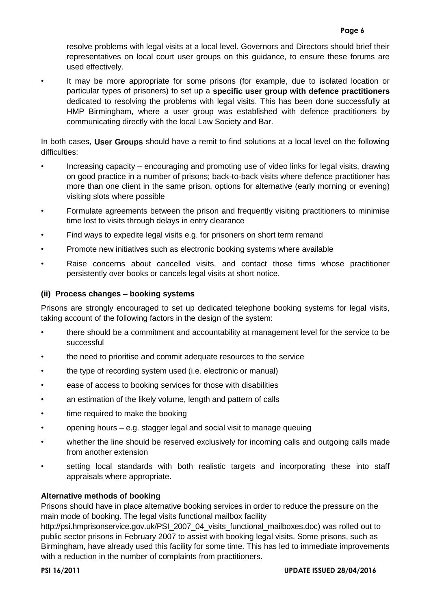resolve problems with legal visits at a local level. Governors and Directors should brief their representatives on local court user groups on this guidance, to ensure these forums are used effectively.

It may be more appropriate for some prisons (for example, due to isolated location or particular types of prisoners) to set up a **specific user group with defence practitioners** dedicated to resolving the problems with legal visits. This has been done successfully at HMP Birmingham, where a user group was established with defence practitioners by communicating directly with the local Law Society and Bar.

In both cases, **User Groups** should have a remit to find solutions at a local level on the following difficulties:

- Increasing capacity encouraging and promoting use of video links for legal visits, drawing on good practice in a number of prisons; back-to-back visits where defence practitioner has more than one client in the same prison, options for alternative (early morning or evening) visiting slots where possible
- Formulate agreements between the prison and frequently visiting practitioners to minimise time lost to visits through delays in entry clearance
- Find ways to expedite legal visits e.g. for prisoners on short term remand
- Promote new initiatives such as electronic booking systems where available
- Raise concerns about cancelled visits, and contact those firms whose practitioner persistently over books or cancels legal visits at short notice.

## **(ii) Process changes – booking systems**

Prisons are strongly encouraged to set up dedicated telephone booking systems for legal visits, taking account of the following factors in the design of the system:

- there should be a commitment and accountability at management level for the service to be successful
- the need to prioritise and commit adequate resources to the service
- the type of recording system used (i.e. electronic or manual)
- ease of access to booking services for those with disabilities
- an estimation of the likely volume, length and pattern of calls
- time required to make the booking
- opening hours e.g. stagger legal and social visit to manage queuing
- whether the line should be reserved exclusively for incoming calls and outgoing calls made from another extension
- setting local standards with both realistic targets and incorporating these into staff appraisals where appropriate.

## **Alternative methods of booking**

Prisons should have in place alternative booking services in order to reduce the pressure on the main mode of booking. The legal visits functional mailbox facility

http://psi.hmprisonservice.gov.uk/PSI\_2007\_04\_visits\_functional\_mailboxes.doc) was rolled out to public sector prisons in February 2007 to assist with booking legal visits. Some prisons, such as Birmingham, have already used this facility for some time. This has led to immediate improvements with a reduction in the number of complaints from practitioners.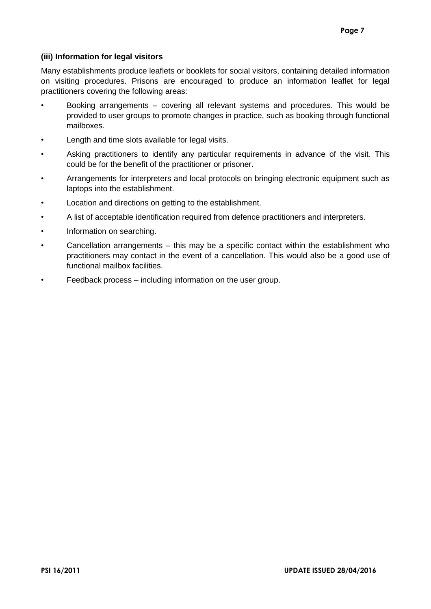## **(iii) Information for legal visitors**

Many establishments produce leaflets or booklets for social visitors, containing detailed information on visiting procedures. Prisons are encouraged to produce an information leaflet for legal practitioners covering the following areas:

- Booking arrangements covering all relevant systems and procedures. This would be provided to user groups to promote changes in practice, such as booking through functional mailboxes.
- Length and time slots available for legal visits.
- Asking practitioners to identify any particular requirements in advance of the visit. This could be for the benefit of the practitioner or prisoner.
- Arrangements for interpreters and local protocols on bringing electronic equipment such as laptops into the establishment.
- Location and directions on getting to the establishment.
- A list of acceptable identification required from defence practitioners and interpreters.
- Information on searching.
- Cancellation arrangements this may be a specific contact within the establishment who practitioners may contact in the event of a cancellation. This would also be a good use of functional mailbox facilities.
- Feedback process including information on the user group.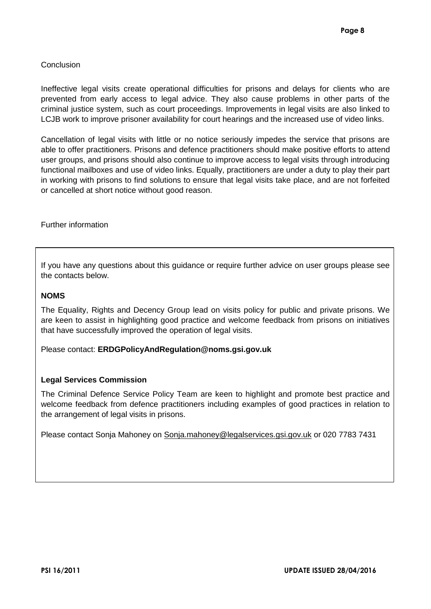## <span id="page-46-0"></span>Conclusion

Ineffective legal visits create operational difficulties for prisons and delays for clients who are prevented from early access to legal advice. They also cause problems in other parts of the criminal justice system, such as court proceedings. Improvements in legal visits are also linked to LCJB work to improve prisoner availability for court hearings and the increased use of video links.

Cancellation of legal visits with little or no notice seriously impedes the service that prisons are able to offer practitioners. Prisons and defence practitioners should make positive efforts to attend user groups, and prisons should also continue to improve access to legal visits through introducing functional mailboxes and use of video links. Equally, practitioners are under a duty to play their part in working with prisons to find solutions to ensure that legal visits take place, and are not forfeited or cancelled at short notice without good reason.

<span id="page-46-1"></span>Further information

If you have any questions about this guidance or require further advice on user groups please see the contacts below.

## **NOMS**

The Equality, Rights and Decency Group lead on visits policy for public and private prisons. We are keen to assist in highlighting good practice and welcome feedback from prisons on initiatives that have successfully improved the operation of legal visits.

Please contact: **ERDGPolicyAndRegulation@noms.gsi.gov.uk**

## **Legal Services Commission**

The Criminal Defence Service Policy Team are keen to highlight and promote best practice and welcome feedback from defence practitioners including examples of good practices in relation to the arrangement of legal visits in prisons.

Please contact Sonja Mahoney on [Sonja.mahoney@legalservices.gsi.gov.uk](mailto:Sonja.mahoney@legalservices.gsi.gov.uk) or 020 7783 7431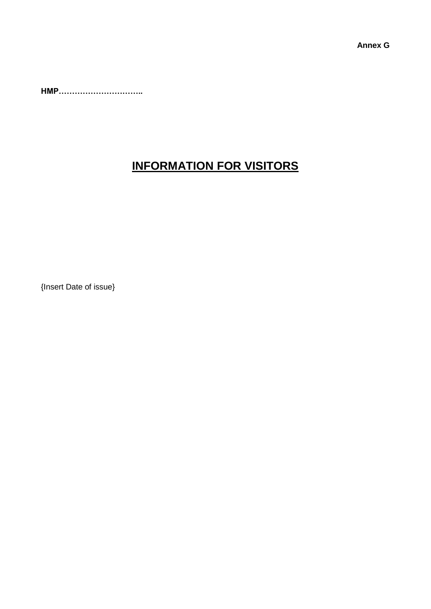<span id="page-47-0"></span>**Annex G**

**HMP…………………………..**

# **INFORMATION FOR VISITORS**

{Insert Date of issue}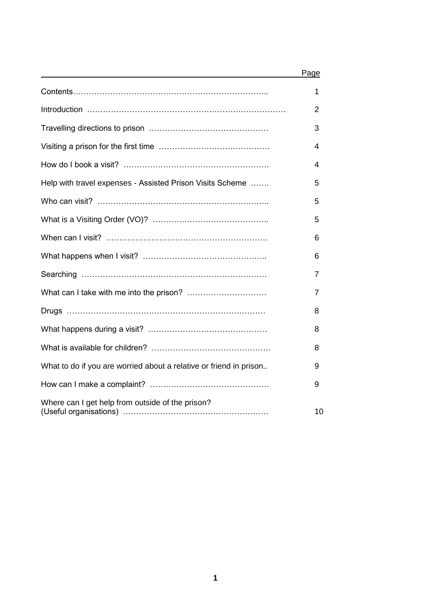|                                                                    | Page |
|--------------------------------------------------------------------|------|
|                                                                    | 1    |
|                                                                    | 2    |
|                                                                    | 3    |
|                                                                    | 4    |
|                                                                    | 4    |
| Help with travel expenses - Assisted Prison Visits Scheme          | 5    |
|                                                                    | 5    |
|                                                                    | 5    |
|                                                                    | 6    |
|                                                                    | 6    |
|                                                                    | 7    |
|                                                                    | 7    |
|                                                                    | 8    |
|                                                                    | 8    |
|                                                                    | 8    |
| What to do if you are worried about a relative or friend in prison | 9    |
|                                                                    | 9    |
| Where can I get help from outside of the prison?                   | 10   |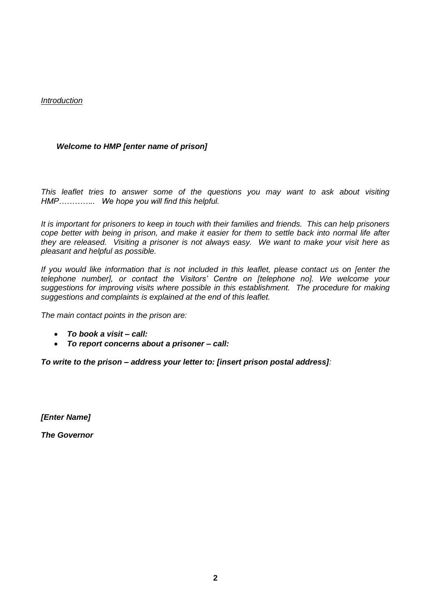## *Introduction*

## *Welcome to HMP [enter name of prison]*

*This leaflet tries to answer some of the questions you may want to ask about visiting HMP………….. We hope you will find this helpful.*

*It is important for prisoners to keep in touch with their families and friends. This can help prisoners cope better with being in prison, and make it easier for them to settle back into normal life after they are released. Visiting a prisoner is not always easy. We want to make your visit here as pleasant and helpful as possible.* 

*If you would like information that is not included in this leaflet, please contact us on [enter the telephone number], or contact the Visitors' Centre on [telephone no]. We welcome your suggestions for improving visits where possible in this establishment. The procedure for making suggestions and complaints is explained at the end of this leaflet.*

*The main contact points in the prison are:*

- *To book a visit – call:*
- *To report concerns about a prisoner – call:*

*To write to the prison – address your letter to: [insert prison postal address]:*

*[Enter Name]*

*The Governor*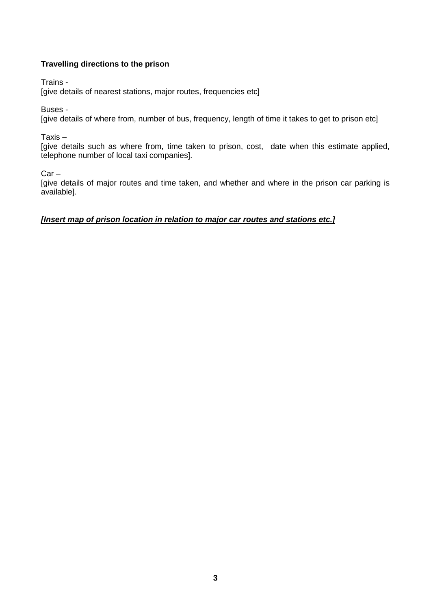# **Travelling directions to the prison**

Trains -

[give details of nearest stations, major routes, frequencies etc]

Buses -

[give details of where from, number of bus, frequency, length of time it takes to get to prison etc]

Taxis –

[give details such as where from, time taken to prison, cost, date when this estimate applied, telephone number of local taxi companies].

Car –

[give details of major routes and time taken, and whether and where in the prison car parking is available].

## *[Insert map of prison location in relation to major car routes and stations etc.]*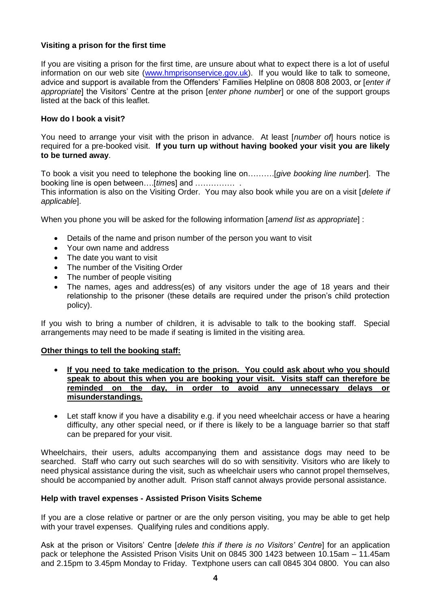## **Visiting a prison for the first time**

If you are visiting a prison for the first time, are unsure about what to expect there is a lot of useful information on our web site [\(www.hmprisonservice.gov.uk\)](http://www.hmprisonservice.gov.uk/). If you would like to talk to someone, advice and support is available from the Offenders' Families Helpline on 0808 808 2003, or [*enter if appropriate*] the Visitors' Centre at the prison [*enter phone number*] or one of the support groups listed at the back of this leaflet.

## **How do I book a visit?**

You need to arrange your visit with the prison in advance. At least [*number of*] hours notice is required for a pre-booked visit. **If you turn up without having booked your visit you are likely to be turned away**.

To book a visit you need to telephone the booking line on……….[*give booking line number*]. The booking line is open between….[*time*s] and …………… .

This information is also on the Visiting Order. You may also book while you are on a visit [*delete if applicable*].

When you phone you will be asked for the following information [*amend list as appropriate*] :

- Details of the name and prison number of the person you want to visit
- Your own name and address
- The date you want to visit
- The number of the Visiting Order
- The number of people visiting
- The names, ages and address(es) of any visitors under the age of 18 years and their relationship to the prisoner (these details are required under the prison's child protection policy).

If you wish to bring a number of children, it is advisable to talk to the booking staff. Special arrangements may need to be made if seating is limited in the visiting area.

## **Other things to tell the booking staff:**

- **If you need to take medication to the prison. You could ask about who you should speak to about this when you are booking your visit. Visits staff can therefore be reminded on the day, in order to avoid any unnecessary delays or misunderstandings.**
- Let staff know if you have a disability e.g. if you need wheelchair access or have a hearing difficulty, any other special need, or if there is likely to be a language barrier so that staff can be prepared for your visit.

Wheelchairs, their users, adults accompanying them and assistance dogs may need to be searched. Staff who carry out such searches will do so with sensitivity. Visitors who are likely to need physical assistance during the visit, such as wheelchair users who cannot propel themselves, should be accompanied by another adult. Prison staff cannot always provide personal assistance.

#### **Help with travel expenses - Assisted Prison Visits Scheme**

If you are a close relative or partner or are the only person visiting, you may be able to get help with your travel expenses. Qualifying rules and conditions apply.

Ask at the prison or Visitors' Centre [*delete this if there is no Visitors' Centre*] for an application pack or telephone the Assisted Prison Visits Unit on 0845 300 1423 between 10.15am – 11.45am and 2.15pm to 3.45pm Monday to Friday. Textphone users can call 0845 304 0800. You can also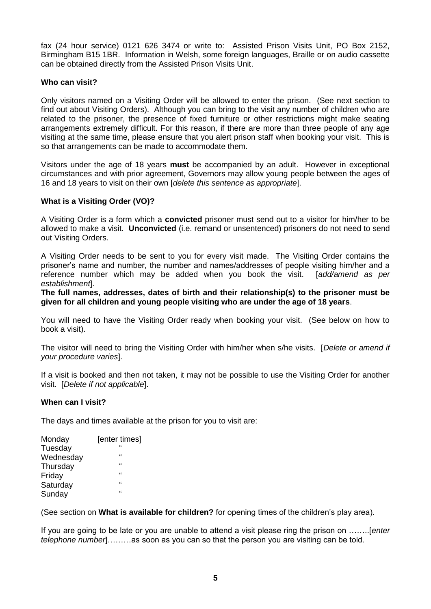fax (24 hour service) 0121 626 3474 or write to: Assisted Prison Visits Unit, PO Box 2152, Birmingham B15 1BR. Information in Welsh, some foreign languages, Braille or on audio cassette can be obtained directly from the Assisted Prison Visits Unit.

## **Who can visit?**

Only visitors named on a Visiting Order will be allowed to enter the prison. (See next section to find out about Visiting Orders). Although you can bring to the visit any number of children who are related to the prisoner, the presence of fixed furniture or other restrictions might make seating arrangements extremely difficult. For this reason, if there are more than three people of any age visiting at the same time, please ensure that you alert prison staff when booking your visit. This is so that arrangements can be made to accommodate them.

Visitors under the age of 18 years **must** be accompanied by an adult. However in exceptional circumstances and with prior agreement, Governors may allow young people between the ages of 16 and 18 years to visit on their own [*delete this sentence as appropriate*].

## **What is a Visiting Order (VO)?**

A Visiting Order is a form which a **convicted** prisoner must send out to a visitor for him/her to be allowed to make a visit. **Unconvicted** (i.e. remand or unsentenced) prisoners do not need to send out Visiting Orders.

A Visiting Order needs to be sent to you for every visit made. The Visiting Order contains the prisoner's name and number, the number and names/addresses of people visiting him/her and a reference number which may be added when you book the visit. [*add/amend as per establishment*].

**The full names, addresses, dates of birth and their relationship(s) to the prisoner must be given for all children and young people visiting who are under the age of 18 years**.

You will need to have the Visiting Order ready when booking your visit. (See below on how to book a visit).

The visitor will need to bring the Visiting Order with him/her when s/he visits. [*Delete or amend if your procedure varies*].

If a visit is booked and then not taken, it may not be possible to use the Visiting Order for another visit. [*Delete if not applicable*].

## **When can I visit?**

The days and times available at the prison for you to visit are:

| Monday    | [enter times] |  |  |  |  |
|-----------|---------------|--|--|--|--|
| Tuesday   | $\epsilon$    |  |  |  |  |
| Wednesday | $\epsilon$    |  |  |  |  |
| Thursday  | $\epsilon$    |  |  |  |  |
| Friday    | $\epsilon$    |  |  |  |  |
| Saturday  | $\epsilon$    |  |  |  |  |
| Sunday    | $\epsilon$    |  |  |  |  |

(See section on **What is available for children?** for opening times of the children's play area).

If you are going to be late or you are unable to attend a visit please ring the prison on ……..[*enter telephone number*]………as soon as you can so that the person you are visiting can be told.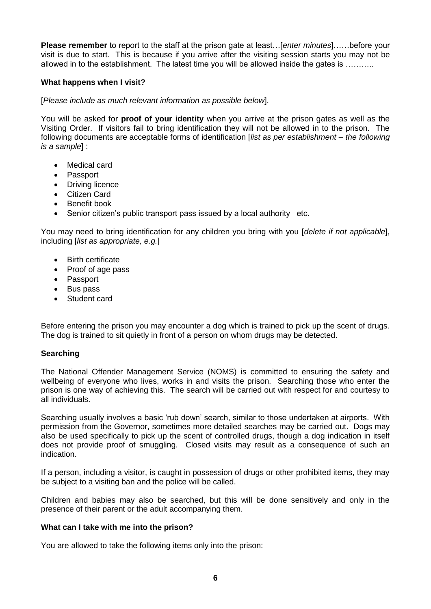**Please remember** to report to the staff at the prison gate at least…[*enter minutes*]……before your visit is due to start. This is because if you arrive after the visiting session starts you may not be allowed in to the establishment. The latest time you will be allowed inside the gates is ..........

## **What happens when I visit?**

[*Please include as much relevant information as possible below*].

You will be asked for **proof of your identity** when you arrive at the prison gates as well as the Visiting Order. If visitors fail to bring identification they will not be allowed in to the prison. The following documents are acceptable forms of identification [*list as per establishment – the following is a sample*] :

- Medical card
- Passport
- Driving licence
- Citizen Card
- **•** Benefit book
- Senior citizen's public transport pass issued by a local authority etc.

You may need to bring identification for any children you bring with you [*delete if not applicable*], including [*list as appropriate, e.g.*]

- Birth certificate
- Proof of age pass
- Passport
- Bus pass
- Student card

Before entering the prison you may encounter a dog which is trained to pick up the scent of drugs. The dog is trained to sit quietly in front of a person on whom drugs may be detected.

## **Searching**

The National Offender Management Service (NOMS) is committed to ensuring the safety and wellbeing of everyone who lives, works in and visits the prison. Searching those who enter the prison is one way of achieving this. The search will be carried out with respect for and courtesy to all individuals.

Searching usually involves a basic 'rub down' search, similar to those undertaken at airports. With permission from the Governor, sometimes more detailed searches may be carried out. Dogs may also be used specifically to pick up the scent of controlled drugs, though a dog indication in itself does not provide proof of smuggling. Closed visits may result as a consequence of such an indication.

If a person, including a visitor, is caught in possession of drugs or other prohibited items, they may be subject to a visiting ban and the police will be called.

Children and babies may also be searched, but this will be done sensitively and only in the presence of their parent or the adult accompanying them.

## **What can I take with me into the prison?**

You are allowed to take the following items only into the prison: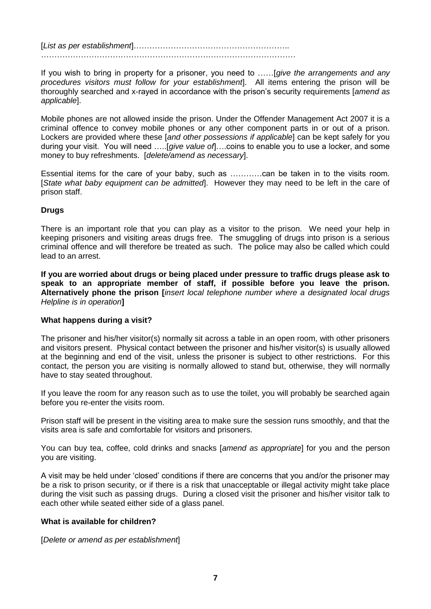[*List as per establishment*]………………………………………………….. ……………………………………………………………………………………

If you wish to bring in property for a prisoner, you need to ……[*give the arrangements and any procedures visitors must follow for your establishment*]. All items entering the prison will be thoroughly searched and x-rayed in accordance with the prison's security requirements [*amend as applicable*].

Mobile phones are not allowed inside the prison. Under the Offender Management Act 2007 it is a criminal offence to convey mobile phones or any other component parts in or out of a prison. Lockers are provided where these [*and other possessions if applicable*] can be kept safely for you during your visit. You will need …..[*give value of*]….coins to enable you to use a locker, and some money to buy refreshments. [*delete/amend as necessary*].

Essential items for the care of your baby, such as …………can be taken in to the visits room. [*State what baby equipment can be admitted*]. However they may need to be left in the care of prison staff.

## **Drugs**

There is an important role that you can play as a visitor to the prison. We need your help in keeping prisoners and visiting areas drugs free. The smuggling of drugs into prison is a serious criminal offence and will therefore be treated as such. The police may also be called which could lead to an arrest.

**If you are worried about drugs or being placed under pressure to traffic drugs please ask to speak to an appropriate member of staff, if possible before you leave the prison. Alternatively phone the prison [***insert local telephone number where a designated local drugs Helpline is in operation***]** 

# **What happens during a visit?**

The prisoner and his/her visitor(s) normally sit across a table in an open room, with other prisoners and visitors present. Physical contact between the prisoner and his/her visitor(s) is usually allowed at the beginning and end of the visit, unless the prisoner is subject to other restrictions. For this contact, the person you are visiting is normally allowed to stand but, otherwise, they will normally have to stay seated throughout.

If you leave the room for any reason such as to use the toilet, you will probably be searched again before you re-enter the visits room.

Prison staff will be present in the visiting area to make sure the session runs smoothly, and that the visits area is safe and comfortable for visitors and prisoners.

You can buy tea, coffee, cold drinks and snacks [*amend as appropriate*] for you and the person you are visiting.

A visit may be held under 'closed' conditions if there are concerns that you and/or the prisoner may be a risk to prison security, or if there is a risk that unacceptable or illegal activity might take place during the visit such as passing drugs. During a closed visit the prisoner and his/her visitor talk to each other while seated either side of a glass panel.

## **What is available for children?**

[*Delete or amend as per establishment*]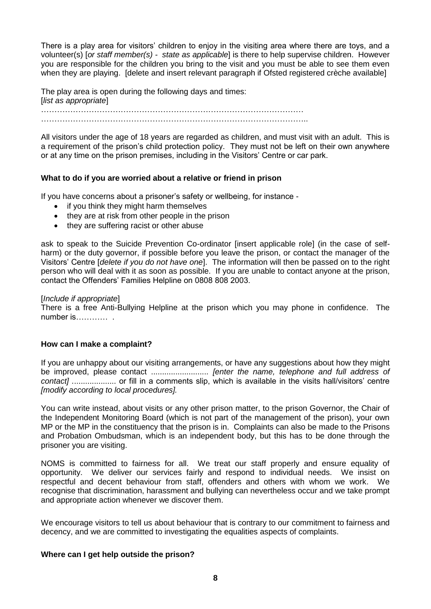There is a play area for visitors' children to enjoy in the visiting area where there are toys, and a volunteer(s) [*or staff member(s) - state as applicable*] is there to help supervise children. However you are responsible for the children you bring to the visit and you must be able to see them even when they are playing. [delete and insert relevant paragraph if Ofsted registered crèche available]

The play area is open during the following days and times: [*list as appropriate*] . The contract of the contract of the contract of the contract of the contract of the contract of the contract of the contract of the contract of the contract of the contract of the contract of the contract of the contrac ………………………………………………………………………………………..

All visitors under the age of 18 years are regarded as children, and must visit with an adult. This is a requirement of the prison's child protection policy. They must not be left on their own anywhere or at any time on the prison premises, including in the Visitors' Centre or car park.

## **What to do if you are worried about a relative or friend in prison**

If you have concerns about a prisoner's safety or wellbeing, for instance -

- if you think they might harm themselves
- they are at risk from other people in the prison
- they are suffering racist or other abuse

ask to speak to the Suicide Prevention Co-ordinator [insert applicable role] (in the case of selfharm) or the duty governor, if possible before you leave the prison, or contact the manager of the Visitors' Centre [*delete if you do not have one*]. The information will then be passed on to the right person who will deal with it as soon as possible. If you are unable to contact anyone at the prison, contact the Offenders' Families Helpline on 0808 808 2003.

#### [*Include if appropriate*]

There is a free Anti-Bullying Helpline at the prison which you may phone in confidence. The number is………… .

## **How can I make a complaint?**

If you are unhappy about our visiting arrangements, or have any suggestions about how they might be improved, please contact .......................... *[enter the name, telephone and full address of contact] .*................... or fill in a comments slip, which is available in the visits hall/visitors' centre *[modify according to local procedures].*

You can write instead, about visits or any other prison matter, to the prison Governor, the Chair of the Independent Monitoring Board (which is not part of the management of the prison), your own MP or the MP in the constituency that the prison is in. Complaints can also be made to the Prisons and Probation Ombudsman, which is an independent body, but this has to be done through the prisoner you are visiting.

NOMS is committed to fairness for all. We treat our staff properly and ensure equality of opportunity. We deliver our services fairly and respond to individual needs. We insist on respectful and decent behaviour from staff, offenders and others with whom we work. We recognise that discrimination, harassment and bullying can nevertheless occur and we take prompt and appropriate action whenever we discover them.

We encourage visitors to tell us about behaviour that is contrary to our commitment to fairness and decency, and we are committed to investigating the equalities aspects of complaints.

## **Where can I get help outside the prison?**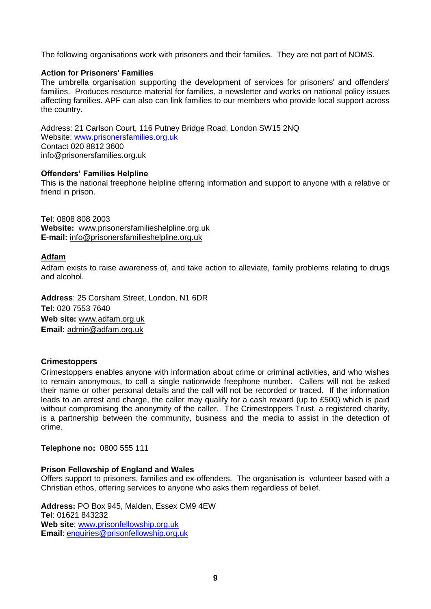The following organisations work with prisoners and their families. They are not part of NOMS.

## **Action for Prisoners' Families**

The umbrella organisation supporting the development of services for prisoners' and offenders' families. Produces resource material for families, a newsletter and works on national policy issues affecting families. APF can also can link families to our members who provide local support across the country.

Address: 21 Carlson Court, 116 Putney Bridge Road, London SW15 2NQ Website: [www.prisonersfamilies.org.uk](http://home.hmps.noms.root/hqr39f/hqx36x/Local%20Settings/Temporary%20Internet%20Files/OLK8A9/www.prisonersfamilies.org.uk) Contact 020 8812 3600 info@prisonersfamilies.org.uk

## **Offenders' Families Helpline**

This is the national freephone helpline offering information and support to anyone with a relative or friend in prison.

**Tel**: 0808 808 2003 **Website:** www.prisonersfamilieshelpline.org.uk **E-mail:** info@prisonersfamilieshelpline.org.uk

## **Adfam**

Adfam exists to raise awareness of, and take action to alleviate, family problems relating to drugs and alcohol.

**Address**: 25 Corsham Street, London, N1 6DR **Tel**: 020 7553 7640 **Web site:** www.adfam.org.uk **Email:** admin@adfam.org.uk

## **Crimestoppers**

Crimestoppers enables anyone with information about crime or criminal activities, and who wishes to remain anonymous, to call a single nationwide freephone number. Callers will not be asked their name or other personal details and the call will not be recorded or traced. If the information leads to an arrest and charge, the caller may qualify for a cash reward (up to £500) which is paid without compromising the anonymity of the caller. The Crimestoppers Trust, a registered charity, is a partnership between the community, business and the media to assist in the detection of crime.

**Telephone no:** 0800 555 111

## **Prison Fellowship of England and Wales**

Offers support to prisoners, families and ex-offenders. The organisation is volunteer based with a Christian ethos, offering services to anyone who asks them regardless of belief.

**Address:** PO Box 945, Malden, Essex CM9 4EW **Tel**: 01621 843232 **Web site**: [www.prisonfellowship.org.uk](http://www.prisonfellowship.org.uk/) **Email**: [enquiries@prisonfellowship.org.uk](mailto:enquiries@prisonfellowship.org.uk)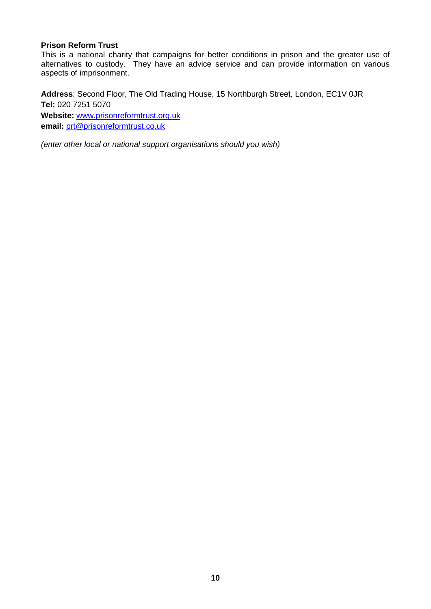## **Prison Reform Trust**

This is a national charity that campaigns for better conditions in prison and the greater use of alternatives to custody. They have an advice service and can provide information on various aspects of imprisonment.

**Address**: Second Floor, The Old Trading House, 15 Northburgh Street, London, EC1V 0JR **Tel:** 020 7251 5070 **Website:** [www.prisonreformtrust.org.uk](http://www.prisonreformtrust.org.uk/) **email:** [prt@prisonreformtrust.co.uk](mailto:prt@prisonreformtrust.co.uk)

*(enter other local or national support organisations should you wish)*